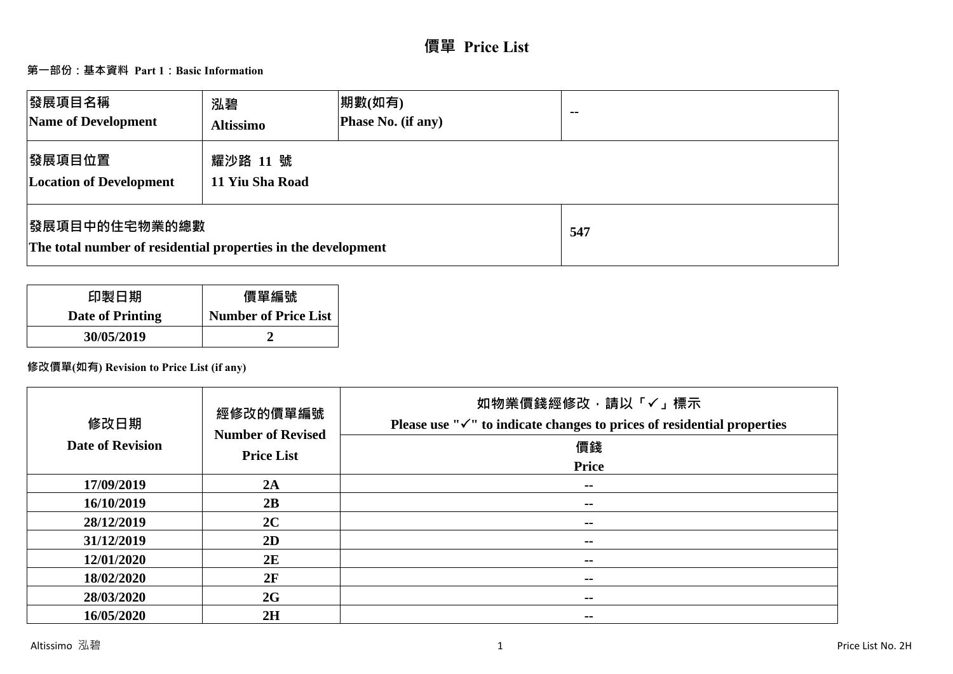# **價單 Price List**

# **第一部份:基本資料 Part 1:Basic Information**

| <b> 發展項目名稱</b><br>Name of Development                                                  | 泓碧<br><b>Altissimo</b>      | 期數(如有)<br>Phase No. (if any) | $\sim$ $\sim$ |
|----------------------------------------------------------------------------------------|-----------------------------|------------------------------|---------------|
| <b> 發展項目位置</b><br><b>Location of Development</b>                                       | 耀沙路 11 號<br>11 Yiu Sha Road |                              |               |
| <b> 發展項目中的住宅物業的總數</b><br>The total number of residential properties in the development |                             |                              | 547           |

| 印製日期                    | 價單編號                        |
|-------------------------|-----------------------------|
| <b>Date of Printing</b> | <b>Number of Price List</b> |
| 30/05/2019              |                             |

# **修改價單(如有) Revision to Price List (if any)**

| 修改日期<br><b>Date of Revision</b> | 經修改的價單編號<br><b>Number of Revised</b><br><b>Price List</b> | 如物業價錢經修改,請以「✓」標示<br>Please use " $\checkmark$ " to indicate changes to prices of residential properties<br>價錢<br>Price |
|---------------------------------|-----------------------------------------------------------|------------------------------------------------------------------------------------------------------------------------|
| 17/09/2019                      | 2A                                                        | --                                                                                                                     |
| 16/10/2019                      | 2B                                                        | $\sim$ $\sim$                                                                                                          |
| 28/12/2019                      | 2C                                                        | $\sim$ $\sim$                                                                                                          |
| 31/12/2019                      | 2D                                                        | $\sim$ $\sim$                                                                                                          |
| 12/01/2020                      | 2E                                                        | $\sim$ $\sim$                                                                                                          |
| 18/02/2020                      | 2F                                                        | --                                                                                                                     |
| 28/03/2020                      | 2G                                                        | $\sim$ $\sim$                                                                                                          |
| 16/05/2020                      | 2H                                                        | $- -$                                                                                                                  |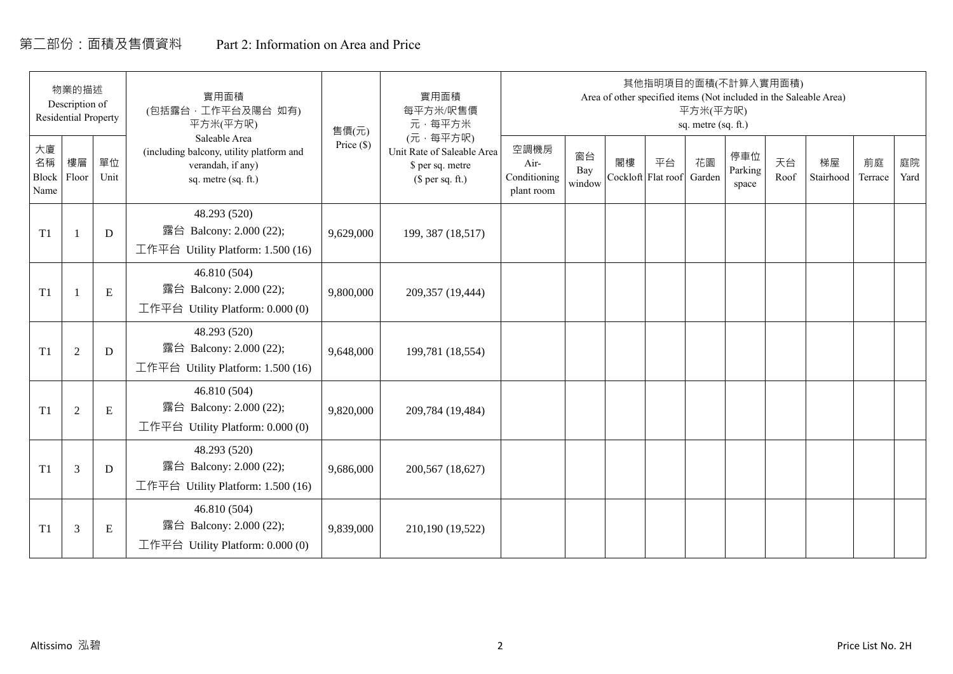# 第二部份:面積及售價資料 Part 2: Information on Area and Price

|                           | 物業的描述<br>Description of<br><b>Residential Property</b> |            | 實用面積<br>(包括露台,工作平台及陽台 如有)<br>平方米(平方呎)                                                                 | 售價(元)        | 實用面積<br>每平方米/呎售價<br>元·每平方米                                                     |                                            |                     |    |                          | 平方米(平方呎)<br>sq. metre (sq. ft.) | 其他指明項目的面積(不計算入實用面積)     |            | Area of other specified items (Not included in the Saleable Area) |               |            |
|---------------------------|--------------------------------------------------------|------------|-------------------------------------------------------------------------------------------------------|--------------|--------------------------------------------------------------------------------|--------------------------------------------|---------------------|----|--------------------------|---------------------------------|-------------------------|------------|-------------------------------------------------------------------|---------------|------------|
| 大廈<br>名稱<br>Block<br>Name | 樓層<br>Floor                                            | 單位<br>Unit | Saleable Area<br>(including balcony, utility platform and<br>verandah, if any)<br>sq. metre (sq. ft.) | Price $(\$)$ | (元·每平方呎)<br>Unit Rate of Saleable Area<br>\$ per sq. metre<br>$$$ per sq. ft.) | 空調機房<br>Air-<br>Conditioning<br>plant room | 窗台<br>Bay<br>window | 閣樓 | 平台<br>Cockloft Flat roof | 花園<br>Garden                    | 停車位<br>Parking<br>space | 天台<br>Roof | 梯屋<br>Stairhood                                                   | 前庭<br>Terrace | 庭院<br>Yard |
| T1                        |                                                        | D          | 48.293 (520)<br>露台 Balcony: 2.000 (22);<br>工作平台 Utility Platform: 1.500 (16)                          | 9,629,000    | 199, 387 (18,517)                                                              |                                            |                     |    |                          |                                 |                         |            |                                                                   |               |            |
| T1                        |                                                        | ${\bf E}$  | 46.810 (504)<br>露台 Balcony: 2.000 (22);<br>工作平台 Utility Platform: $0.000(0)$                          | 9,800,000    | 209,357 (19,444)                                                               |                                            |                     |    |                          |                                 |                         |            |                                                                   |               |            |
| T1                        | $\overline{2}$                                         | D          | 48.293 (520)<br>露台 Balcony: 2.000 (22);<br>工作平台 Utility Platform: 1.500 (16)                          | 9,648,000    | 199,781 (18,554)                                                               |                                            |                     |    |                          |                                 |                         |            |                                                                   |               |            |
| T1                        | 2                                                      | ${\bf E}$  | 46.810 (504)<br>露台 Balcony: 2.000 (22);<br>工作平台 Utility Platform: 0.000 (0)                           | 9,820,000    | 209,784 (19,484)                                                               |                                            |                     |    |                          |                                 |                         |            |                                                                   |               |            |
| T1                        | 3                                                      | D          | 48.293 (520)<br>露台 Balcony: 2.000 (22);<br>工作平台 Utility Platform: $1.500(16)$                         | 9,686,000    | 200,567 (18,627)                                                               |                                            |                     |    |                          |                                 |                         |            |                                                                   |               |            |
| T1                        | 3                                                      | Ε          | 46.810 (504)<br>露台 Balcony: 2.000 (22);<br>工作平台 Utility Platform: $0.000(0)$                          | 9,839,000    | 210,190 (19,522)                                                               |                                            |                     |    |                          |                                 |                         |            |                                                                   |               |            |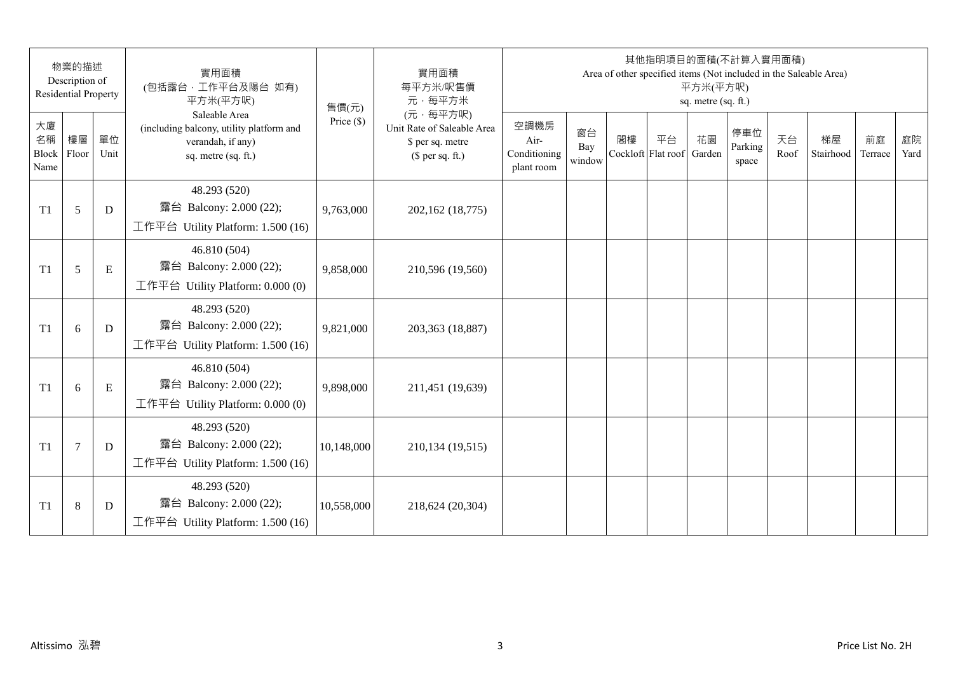|                                 | 物業的描述<br>Description of<br><b>Residential Property</b> |            | 實用面積<br>(包括露台,工作平台及陽台 如有)<br>平方米(平方呎)                                                                 | 售價(元)        | 實用面積<br>每平方米/呎售價<br>元·每平方米                                                     |                                            |                     |                          | 其他指明項目的面積(不計算入實用面積)<br>Area of other specified items (Not included in the Saleable Area) | 平方米(平方呎)<br>sq. metre (sq. ft.) |                         |            |                 |               |            |
|---------------------------------|--------------------------------------------------------|------------|-------------------------------------------------------------------------------------------------------|--------------|--------------------------------------------------------------------------------|--------------------------------------------|---------------------|--------------------------|------------------------------------------------------------------------------------------|---------------------------------|-------------------------|------------|-----------------|---------------|------------|
| 大廈<br>名稱<br>Block Floor<br>Name | 樓層                                                     | 單位<br>Unit | Saleable Area<br>(including balcony, utility platform and<br>verandah, if any)<br>sq. metre (sq. ft.) | Price $(\$)$ | (元·每平方呎)<br>Unit Rate of Saleable Area<br>\$ per sq. metre<br>$$$ per sq. ft.) | 空調機房<br>Air-<br>Conditioning<br>plant room | 窗台<br>Bay<br>window | 閣樓<br>Cockloft Flat roof | 平台                                                                                       | 花園<br>Garden                    | 停車位<br>Parking<br>space | 天台<br>Roof | 梯屋<br>Stairhood | 前庭<br>Terrace | 庭院<br>Yard |
| T1                              | 5                                                      | D          | 48.293 (520)<br>露台 Balcony: 2.000 (22);<br>工作平台 Utility Platform: 1.500 (16)                          | 9,763,000    | 202,162 (18,775)                                                               |                                            |                     |                          |                                                                                          |                                 |                         |            |                 |               |            |
| T1                              | 5                                                      | E          | 46.810 (504)<br>露台 Balcony: 2.000 (22);<br>工作平台 Utility Platform: 0.000 (0)                           | 9,858,000    | 210,596 (19,560)                                                               |                                            |                     |                          |                                                                                          |                                 |                         |            |                 |               |            |
| T1                              | 6                                                      | D          | 48.293 (520)<br>露台 Balcony: 2.000 (22);<br>工作平台 Utility Platform: 1.500 (16)                          | 9,821,000    | 203,363 (18,887)                                                               |                                            |                     |                          |                                                                                          |                                 |                         |            |                 |               |            |
| T1                              | 6                                                      | E          | 46.810 (504)<br>露台 Balcony: 2.000 (22);<br>工作平台 Utility Platform: 0.000 (0)                           | 9,898,000    | 211,451 (19,639)                                                               |                                            |                     |                          |                                                                                          |                                 |                         |            |                 |               |            |
| T1                              | $\overline{7}$                                         | D          | 48.293 (520)<br>露台 Balcony: 2.000 (22);<br>工作平台 Utility Platform: 1.500 (16)                          | 10,148,000   | 210,134 (19,515)                                                               |                                            |                     |                          |                                                                                          |                                 |                         |            |                 |               |            |
| T1                              | $\,8\,$                                                | D          | 48.293 (520)<br>露台 Balcony: 2.000 (22);<br>工作平台 Utility Platform: $1.500(16)$                         | 10,558,000   | 218,624 (20,304)                                                               |                                            |                     |                          |                                                                                          |                                 |                         |            |                 |               |            |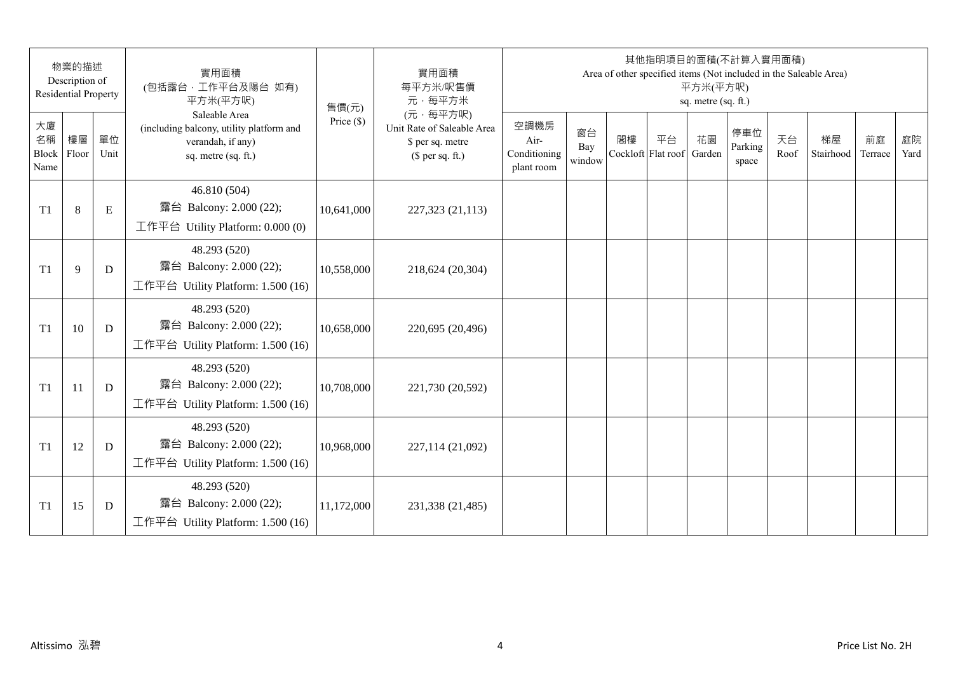|                           | 物業的描述<br>Description of<br><b>Residential Property</b> |            | 實用面積<br>(包括露台,工作平台及陽台 如有)<br>平方米(平方呎)                                                                 | 售價(元)        | 實用面積<br>每平方米/呎售價<br>元·每平方米                                                     |                                            |                     |    | 其他指明項目的面積(不計算入實用面積)      | 平方米(平方呎)<br>sq. metre (sq. ft.) |                         |            | Area of other specified items (Not included in the Saleable Area) |               |            |
|---------------------------|--------------------------------------------------------|------------|-------------------------------------------------------------------------------------------------------|--------------|--------------------------------------------------------------------------------|--------------------------------------------|---------------------|----|--------------------------|---------------------------------|-------------------------|------------|-------------------------------------------------------------------|---------------|------------|
| 大廈<br>名稱<br>Block<br>Name | 樓層<br>Floor                                            | 單位<br>Unit | Saleable Area<br>(including balcony, utility platform and<br>verandah, if any)<br>sq. metre (sq. ft.) | Price $(\$)$ | (元·每平方呎)<br>Unit Rate of Saleable Area<br>\$ per sq. metre<br>$$$ per sq. ft.) | 空調機房<br>Air-<br>Conditioning<br>plant room | 窗台<br>Bay<br>window | 閣樓 | 平台<br>Cockloft Flat roof | 花園<br>Garden                    | 停車位<br>Parking<br>space | 天台<br>Roof | 梯屋<br>Stairhood                                                   | 前庭<br>Terrace | 庭院<br>Yard |
| T <sub>1</sub>            | $8\,$                                                  | ${\bf E}$  | 46.810 (504)<br>露台 Balcony: 2.000 (22);<br>工作平台 Utility Platform: $0.000(0)$                          | 10,641,000   | 227,323 (21,113)                                                               |                                            |                     |    |                          |                                 |                         |            |                                                                   |               |            |
| T <sub>1</sub>            | 9                                                      | D          | 48.293 (520)<br>露台 Balcony: 2.000 (22);<br>工作平台 Utility Platform: 1.500 (16)                          | 10,558,000   | 218,624 (20,304)                                                               |                                            |                     |    |                          |                                 |                         |            |                                                                   |               |            |
| T1                        | 10                                                     | D          | 48.293 (520)<br>露台 Balcony: 2.000 (22);<br>工作平台 Utility Platform: 1.500 (16)                          | 10,658,000   | 220,695 (20,496)                                                               |                                            |                     |    |                          |                                 |                         |            |                                                                   |               |            |
| T <sub>1</sub>            | 11                                                     | D          | 48.293 (520)<br>露台 Balcony: 2.000 (22);<br>工作平台 Utility Platform: 1.500 (16)                          | 10,708,000   | 221,730 (20,592)                                                               |                                            |                     |    |                          |                                 |                         |            |                                                                   |               |            |
| T <sub>1</sub>            | 12                                                     | D          | 48.293 (520)<br>露台 Balcony: 2.000 (22);<br>工作平台 Utility Platform: 1.500 (16)                          | 10,968,000   | 227,114 (21,092)                                                               |                                            |                     |    |                          |                                 |                         |            |                                                                   |               |            |
| T <sub>1</sub>            | 15                                                     | D          | 48.293 (520)<br>露台 Balcony: 2.000 (22);<br>工作平台 Utility Platform: 1.500 (16)                          | 11,172,000   | 231,338 (21,485)                                                               |                                            |                     |    |                          |                                 |                         |            |                                                                   |               |            |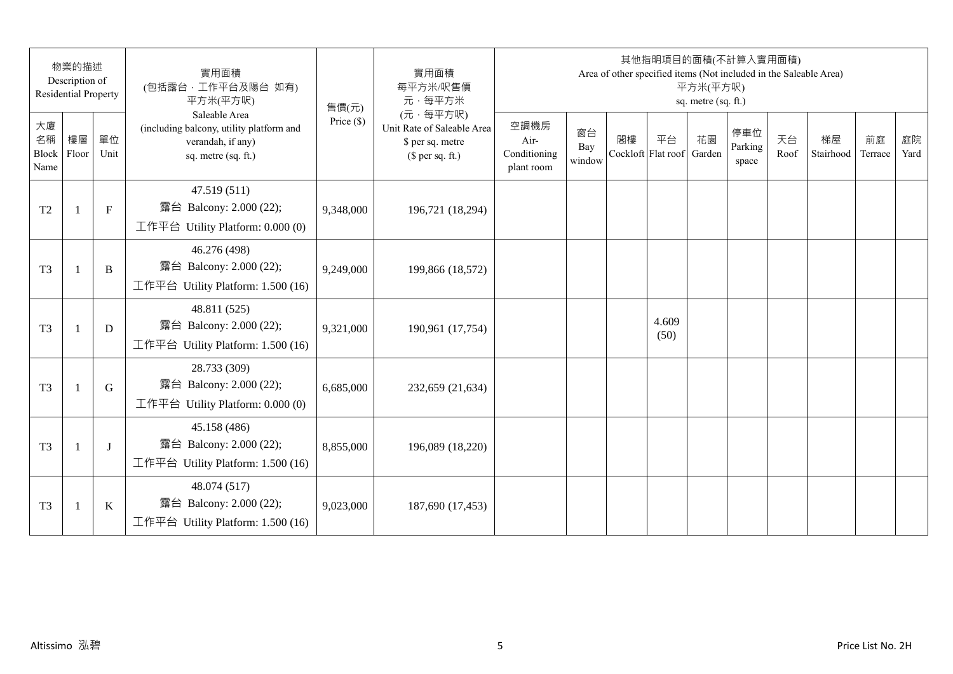|                           | 物業的描述<br>Description of<br><b>Residential Property</b> |              | 實用面積<br>(包括露台,工作平台及陽台 如有)<br>平方米(平方呎)                                                                 | 售價(元)        | 實用面積<br>每平方米/呎售價<br>元·每平方米                                                     |                                            |                     |    | 其他指明項目的面積(不計算入實用面積)<br>Area of other specified items (Not included in the Saleable Area) | 平方米(平方呎)<br>sq. metre (sq. ft.) |                         |            |                 |               |            |
|---------------------------|--------------------------------------------------------|--------------|-------------------------------------------------------------------------------------------------------|--------------|--------------------------------------------------------------------------------|--------------------------------------------|---------------------|----|------------------------------------------------------------------------------------------|---------------------------------|-------------------------|------------|-----------------|---------------|------------|
| 大廈<br>名稱<br>Block<br>Name | 樓層<br>Floor                                            | 單位<br>Unit   | Saleable Area<br>(including balcony, utility platform and<br>verandah, if any)<br>sq. metre (sq. ft.) | Price $(\$)$ | (元·每平方呎)<br>Unit Rate of Saleable Area<br>\$ per sq. metre<br>(\$ per sq. ft.) | 空調機房<br>Air-<br>Conditioning<br>plant room | 窗台<br>Bay<br>window | 閣樓 | 平台<br>Cockloft Flat roof                                                                 | 花園<br>Garden                    | 停車位<br>Parking<br>space | 天台<br>Roof | 梯屋<br>Stairhood | 前庭<br>Terrace | 庭院<br>Yard |
| T <sub>2</sub>            | $\mathbf{1}$                                           | $\mathbf{F}$ | 47.519 (511)<br>露台 Balcony: 2.000 (22);<br>工作平台 Utility Platform: 0.000 (0)                           | 9,348,000    | 196,721 (18,294)                                                               |                                            |                     |    |                                                                                          |                                 |                         |            |                 |               |            |
| T <sub>3</sub>            | $\mathbf{1}$                                           | B            | 46.276 (498)<br>露台 Balcony: 2.000 (22);<br>工作平台 Utility Platform: 1.500 (16)                          | 9,249,000    | 199,866 (18,572)                                                               |                                            |                     |    |                                                                                          |                                 |                         |            |                 |               |            |
| T <sub>3</sub>            | $\mathbf{1}$                                           | D            | 48.811 (525)<br>露台 Balcony: 2.000 (22);<br>工作平台 Utility Platform: 1.500 (16)                          | 9,321,000    | 190,961 (17,754)                                                               |                                            |                     |    | 4.609<br>(50)                                                                            |                                 |                         |            |                 |               |            |
| T <sub>3</sub>            |                                                        | G            | 28.733 (309)<br>露台 Balcony: 2.000 (22);<br>工作平台 Utility Platform: 0.000 (0)                           | 6,685,000    | 232,659 (21,634)                                                               |                                            |                     |    |                                                                                          |                                 |                         |            |                 |               |            |
| T <sub>3</sub>            | $\mathbf{1}$                                           | J            | 45.158 (486)<br>露台 Balcony: 2.000 (22);<br>工作平台 Utility Platform: 1.500 (16)                          | 8,855,000    | 196,089 (18,220)                                                               |                                            |                     |    |                                                                                          |                                 |                         |            |                 |               |            |
| T <sub>3</sub>            | $\mathbf{1}$                                           | K            | 48.074 (517)<br>露台 Balcony: 2.000 (22);<br>工作平台 Utility Platform: $1.500(16)$                         | 9,023,000    | 187,690 (17,453)                                                               |                                            |                     |    |                                                                                          |                                 |                         |            |                 |               |            |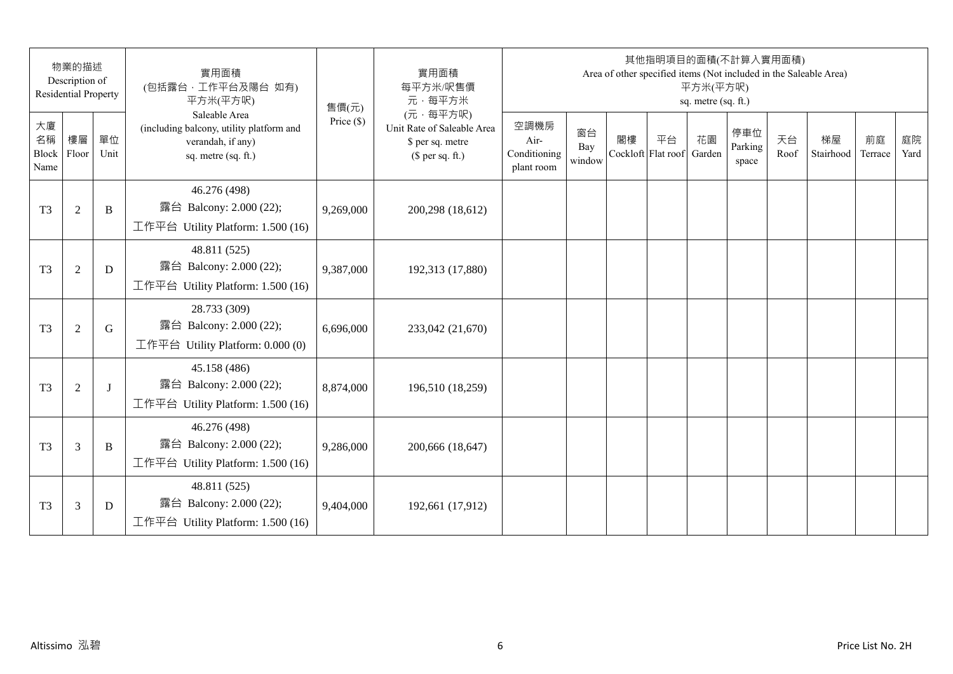|                                 | 物業的描述<br>Description of<br><b>Residential Property</b> |            | 實用面積<br>(包括露台,工作平台及陽台 如有)<br>平方米(平方呎)                                                                 | 售價(元)        | 實用面積<br>每平方米/呎售價<br>元·每平方米                                                     |                                            |                     |    | 其他指明項目的面積(不計算入實用面積)<br>Area of other specified items (Not included in the Saleable Area) | 平方米(平方呎)<br>sq. metre (sq. ft.) |                         |            |                 |               |            |
|---------------------------------|--------------------------------------------------------|------------|-------------------------------------------------------------------------------------------------------|--------------|--------------------------------------------------------------------------------|--------------------------------------------|---------------------|----|------------------------------------------------------------------------------------------|---------------------------------|-------------------------|------------|-----------------|---------------|------------|
| 大廈<br>名稱<br>Block Floor<br>Name | 樓層                                                     | 單位<br>Unit | Saleable Area<br>(including balcony, utility platform and<br>verandah, if any)<br>sq. metre (sq. ft.) | Price $(\$)$ | (元·每平方呎)<br>Unit Rate of Saleable Area<br>\$ per sq. metre<br>$$$ per sq. ft.) | 空調機房<br>Air-<br>Conditioning<br>plant room | 窗台<br>Bay<br>window | 閣樓 | 平台<br>Cockloft Flat roof                                                                 | 花園<br>Garden                    | 停車位<br>Parking<br>space | 天台<br>Roof | 梯屋<br>Stairhood | 前庭<br>Terrace | 庭院<br>Yard |
| T <sub>3</sub>                  | $\overline{2}$                                         | B          | 46.276 (498)<br>露台 Balcony: 2.000 (22);<br>工作平台 Utility Platform: 1.500 (16)                          | 9,269,000    | 200,298 (18,612)                                                               |                                            |                     |    |                                                                                          |                                 |                         |            |                 |               |            |
| T <sub>3</sub>                  | $\mathfrak{2}$                                         | D          | 48.811 (525)<br>露台 Balcony: 2.000 (22);<br>工作平台 Utility Platform: 1.500 (16)                          | 9,387,000    | 192,313 (17,880)                                                               |                                            |                     |    |                                                                                          |                                 |                         |            |                 |               |            |
| T <sub>3</sub>                  | $\mathfrak{2}$                                         | G          | 28.733 (309)<br>露台 Balcony: 2.000 (22);<br>工作平台 Utility Platform: 0.000 (0)                           | 6,696,000    | 233,042 (21,670)                                                               |                                            |                     |    |                                                                                          |                                 |                         |            |                 |               |            |
| T <sub>3</sub>                  | $\overline{2}$                                         | $\bf{J}$   | 45.158 (486)<br>露台 Balcony: 2.000 (22);<br>工作平台 Utility Platform: 1.500 (16)                          | 8,874,000    | 196,510 (18,259)                                                               |                                            |                     |    |                                                                                          |                                 |                         |            |                 |               |            |
| T <sub>3</sub>                  | 3                                                      | B          | 46.276 (498)<br>露台 Balcony: 2.000 (22);<br>工作平台 Utility Platform: 1.500 (16)                          | 9,286,000    | 200,666 (18,647)                                                               |                                            |                     |    |                                                                                          |                                 |                         |            |                 |               |            |
| T <sub>3</sub>                  | 3                                                      | D          | 48.811 (525)<br>露台 Balcony: 2.000 (22);<br>工作平台 Utility Platform: 1.500 (16)                          | 9,404,000    | 192,661 (17,912)                                                               |                                            |                     |    |                                                                                          |                                 |                         |            |                 |               |            |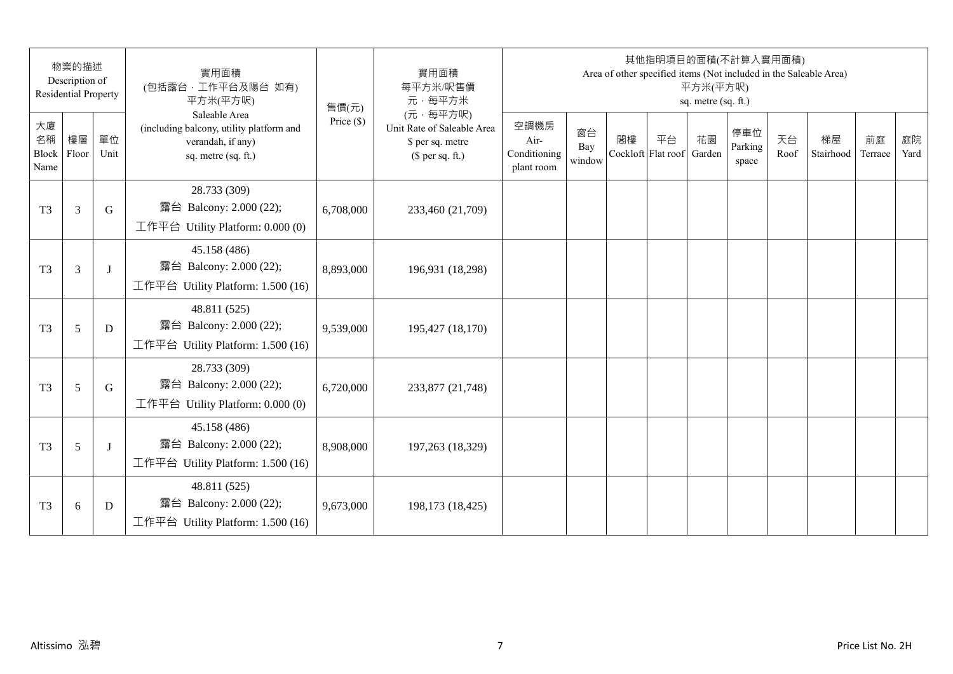|                                 | 物業的描述<br>Description of<br><b>Residential Property</b> |            | 實用面積<br>(包括露台,工作平台及陽台 如有)<br>平方米(平方呎)                                                                 | 售價(元)        | 實用面積<br>每平方米/呎售價<br>元·每平方米                                                     |                                            |                     |                          | 其他指明項目的面積(不計算入實用面積)<br>Area of other specified items (Not included in the Saleable Area) | 平方米(平方呎)<br>sq. metre (sq. ft.) |                         |            |                 |               |            |
|---------------------------------|--------------------------------------------------------|------------|-------------------------------------------------------------------------------------------------------|--------------|--------------------------------------------------------------------------------|--------------------------------------------|---------------------|--------------------------|------------------------------------------------------------------------------------------|---------------------------------|-------------------------|------------|-----------------|---------------|------------|
| 大廈<br>名稱<br>Block Floor<br>Name | 樓層                                                     | 單位<br>Unit | Saleable Area<br>(including balcony, utility platform and<br>verandah, if any)<br>sq. metre (sq. ft.) | Price $(\$)$ | (元·每平方呎)<br>Unit Rate of Saleable Area<br>\$ per sq. metre<br>$$$ per sq. ft.) | 空調機房<br>Air-<br>Conditioning<br>plant room | 窗台<br>Bay<br>window | 閣樓<br>Cockloft Flat roof | 平台                                                                                       | 花園<br>Garden                    | 停車位<br>Parking<br>space | 天台<br>Roof | 梯屋<br>Stairhood | 前庭<br>Terrace | 庭院<br>Yard |
| T <sub>3</sub>                  | 3                                                      | G          | 28.733 (309)<br>露台 Balcony: 2.000 (22);<br>工作平台 Utility Platform: 0.000 (0)                           | 6,708,000    | 233,460 (21,709)                                                               |                                            |                     |                          |                                                                                          |                                 |                         |            |                 |               |            |
| T <sub>3</sub>                  | 3                                                      | J          | 45.158 (486)<br>露台 Balcony: 2.000 (22);<br>工作平台 Utility Platform: 1.500 (16)                          | 8,893,000    | 196,931 (18,298)                                                               |                                            |                     |                          |                                                                                          |                                 |                         |            |                 |               |            |
| T <sub>3</sub>                  | 5                                                      | D          | 48.811 (525)<br>露台 Balcony: 2.000 (22);<br>工作平台 Utility Platform: 1.500 (16)                          | 9,539,000    | 195,427 (18,170)                                                               |                                            |                     |                          |                                                                                          |                                 |                         |            |                 |               |            |
| T <sub>3</sub>                  | 5                                                      | G          | 28.733 (309)<br>露台 Balcony: 2.000 (22);<br>工作平台 Utility Platform: 0.000 (0)                           | 6,720,000    | 233,877 (21,748)                                                               |                                            |                     |                          |                                                                                          |                                 |                         |            |                 |               |            |
| T <sub>3</sub>                  | 5                                                      | J          | 45.158 (486)<br>露台 Balcony: 2.000 (22);<br>工作平台 Utility Platform: 1.500 (16)                          | 8,908,000    | 197,263 (18,329)                                                               |                                            |                     |                          |                                                                                          |                                 |                         |            |                 |               |            |
| T <sub>3</sub>                  | $6\,$                                                  | D          | 48.811 (525)<br>露台 Balcony: 2.000 (22);<br>工作平台 Utility Platform: $1.500(16)$                         | 9,673,000    | 198,173 (18,425)                                                               |                                            |                     |                          |                                                                                          |                                 |                         |            |                 |               |            |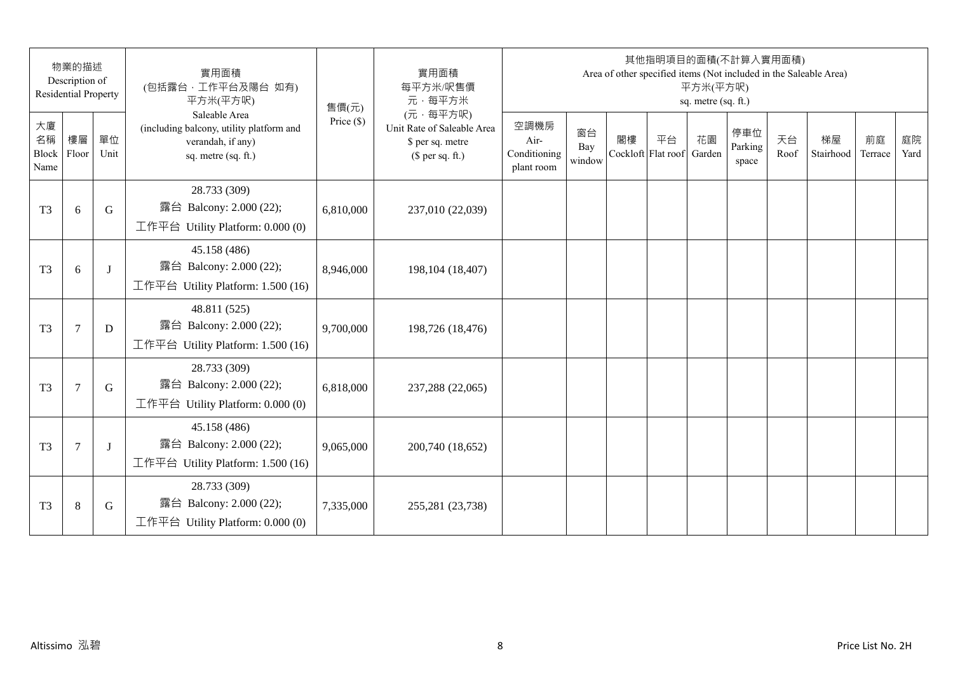|                                 | 物業的描述<br>Description of<br><b>Residential Property</b> |            | 實用面積<br>(包括露台, 工作平台及陽台 如有)<br>平方米(平方呎)                                                                | 售價(元)        | 實用面積<br>每平方米/呎售價<br>元·每平方米                                                     |                                            |                     |                          | 其他指明項目的面積(不計算入實用面積) | 平方米(平方呎)<br>sq. metre (sq. ft.) |                         |            | Area of other specified items (Not included in the Saleable Area) |               |            |
|---------------------------------|--------------------------------------------------------|------------|-------------------------------------------------------------------------------------------------------|--------------|--------------------------------------------------------------------------------|--------------------------------------------|---------------------|--------------------------|---------------------|---------------------------------|-------------------------|------------|-------------------------------------------------------------------|---------------|------------|
| 大廈<br>名稱<br>Block Floor<br>Name | 樓層                                                     | 單位<br>Unit | Saleable Area<br>(including balcony, utility platform and<br>verandah, if any)<br>sq. metre (sq. ft.) | Price $(\$)$ | (元·每平方呎)<br>Unit Rate of Saleable Area<br>\$ per sq. metre<br>$$$ per sq. ft.) | 空調機房<br>Air-<br>Conditioning<br>plant room | 窗台<br>Bay<br>window | 閣樓<br>Cockloft Flat roof | 平台                  | 花園<br>Garden                    | 停車位<br>Parking<br>space | 天台<br>Roof | 梯屋<br>Stairhood                                                   | 前庭<br>Terrace | 庭院<br>Yard |
| T <sub>3</sub>                  | 6                                                      | G          | 28.733 (309)<br>露台 Balcony: 2.000 (22);<br>工作平台 Utility Platform: 0.000 (0)                           | 6,810,000    | 237,010 (22,039)                                                               |                                            |                     |                          |                     |                                 |                         |            |                                                                   |               |            |
| T <sub>3</sub>                  | 6                                                      | $\bf{J}$   | 45.158 (486)<br>露台 Balcony: 2.000 (22);<br>工作平台 Utility Platform: 1.500 (16)                          | 8,946,000    | 198, 104 (18, 407)                                                             |                                            |                     |                          |                     |                                 |                         |            |                                                                   |               |            |
| T <sub>3</sub>                  | $\tau$                                                 | D          | 48.811 (525)<br>露台 Balcony: 2.000 (22);<br>工作平台 Utility Platform: 1.500 (16)                          | 9,700,000    | 198,726 (18,476)                                                               |                                            |                     |                          |                     |                                 |                         |            |                                                                   |               |            |
| T <sub>3</sub>                  | $\overline{7}$                                         | G          | 28.733 (309)<br>露台 Balcony: 2.000 (22);<br>工作平台 Utility Platform: 0.000 (0)                           | 6,818,000    | 237,288 (22,065)                                                               |                                            |                     |                          |                     |                                 |                         |            |                                                                   |               |            |
| T <sub>3</sub>                  | 7                                                      | J          | 45.158 (486)<br>露台 Balcony: 2.000 (22);<br>工作平台 Utility Platform: 1.500 (16)                          | 9,065,000    | 200,740 (18,652)                                                               |                                            |                     |                          |                     |                                 |                         |            |                                                                   |               |            |
| T <sub>3</sub>                  | $\,8\,$                                                | G          | 28.733 (309)<br>露台 Balcony: 2.000 (22);<br>工作平台 Utility Platform: 0.000 (0)                           | 7,335,000    | 255,281 (23,738)                                                               |                                            |                     |                          |                     |                                 |                         |            |                                                                   |               |            |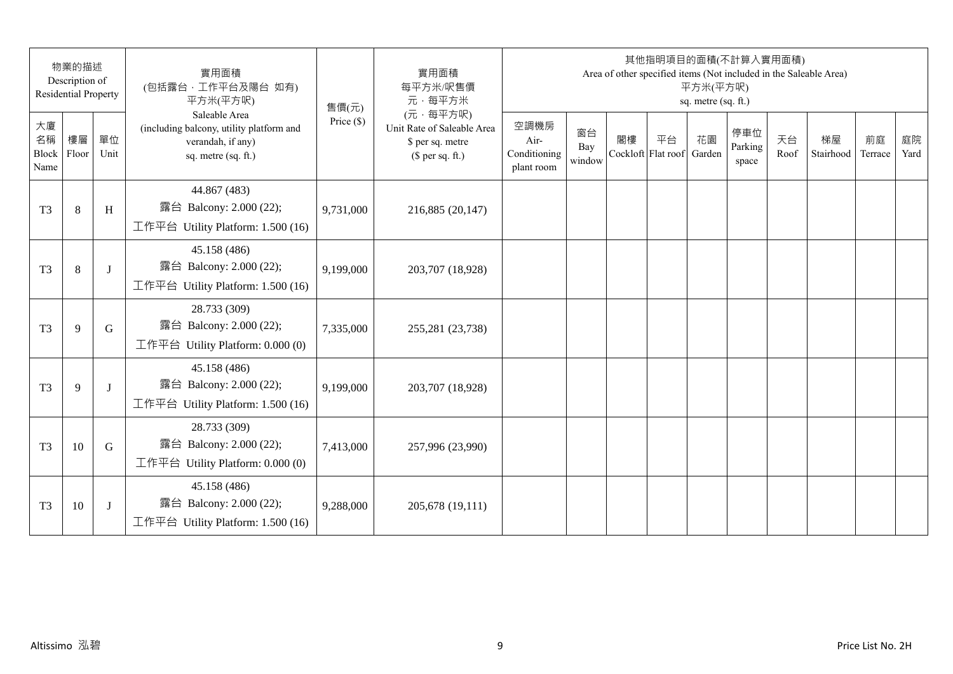|                                 | 物業的描述<br>Description of<br><b>Residential Property</b> |            | 實用面積<br>(包括露台,工作平台及陽台 如有)<br>平方米(平方呎)                                                                 | 售價(元)        | 實用面積<br>每平方米/呎售價<br>元·每平方米                                                     |                                            |                     |    | 其他指明項目的面積(不計算入實用面積)<br>Area of other specified items (Not included in the Saleable Area) | 平方米(平方呎)<br>sq. metre (sq. ft.) |                         |            |                 |               |            |
|---------------------------------|--------------------------------------------------------|------------|-------------------------------------------------------------------------------------------------------|--------------|--------------------------------------------------------------------------------|--------------------------------------------|---------------------|----|------------------------------------------------------------------------------------------|---------------------------------|-------------------------|------------|-----------------|---------------|------------|
| 大廈<br>名稱<br>Block Floor<br>Name | 樓層                                                     | 單位<br>Unit | Saleable Area<br>(including balcony, utility platform and<br>verandah, if any)<br>sq. metre (sq. ft.) | Price $(\$)$ | (元·每平方呎)<br>Unit Rate of Saleable Area<br>\$ per sq. metre<br>$$$ per sq. ft.) | 空調機房<br>Air-<br>Conditioning<br>plant room | 窗台<br>Bay<br>window | 閣樓 | 平台<br>Cockloft Flat roof                                                                 | 花園<br>Garden                    | 停車位<br>Parking<br>space | 天台<br>Roof | 梯屋<br>Stairhood | 前庭<br>Terrace | 庭院<br>Yard |
| T <sub>3</sub>                  | $\,8\,$                                                | H          | 44.867 (483)<br>露台 Balcony: 2.000 (22);<br>工作平台 Utility Platform: 1.500 (16)                          | 9,731,000    | 216,885 (20,147)                                                               |                                            |                     |    |                                                                                          |                                 |                         |            |                 |               |            |
| T <sub>3</sub>                  | $\,8\,$                                                | J          | 45.158 (486)<br>露台 Balcony: 2.000 (22);<br>工作平台 Utility Platform: 1.500 (16)                          | 9,199,000    | 203,707 (18,928)                                                               |                                            |                     |    |                                                                                          |                                 |                         |            |                 |               |            |
| T <sub>3</sub>                  | 9                                                      | G          | 28.733 (309)<br>露台 Balcony: 2.000 (22);<br>工作平台 Utility Platform: 0.000 (0)                           | 7,335,000    | 255,281 (23,738)                                                               |                                            |                     |    |                                                                                          |                                 |                         |            |                 |               |            |
| T <sub>3</sub>                  | 9                                                      | $\bf{J}$   | 45.158 (486)<br>露台 Balcony: 2.000 (22);<br>工作平台 Utility Platform: 1.500 (16)                          | 9,199,000    | 203,707 (18,928)                                                               |                                            |                     |    |                                                                                          |                                 |                         |            |                 |               |            |
| T <sub>3</sub>                  | 10                                                     | G          | 28.733 (309)<br>露台 Balcony: 2.000 (22);<br>工作平台 Utility Platform: 0.000 (0)                           | 7,413,000    | 257,996 (23,990)                                                               |                                            |                     |    |                                                                                          |                                 |                         |            |                 |               |            |
| T <sub>3</sub>                  | 10                                                     | J          | 45.158 (486)<br>露台 Balcony: 2.000 (22);<br>工作平台 Utility Platform: $1.500(16)$                         | 9,288,000    | 205,678 (19,111)                                                               |                                            |                     |    |                                                                                          |                                 |                         |            |                 |               |            |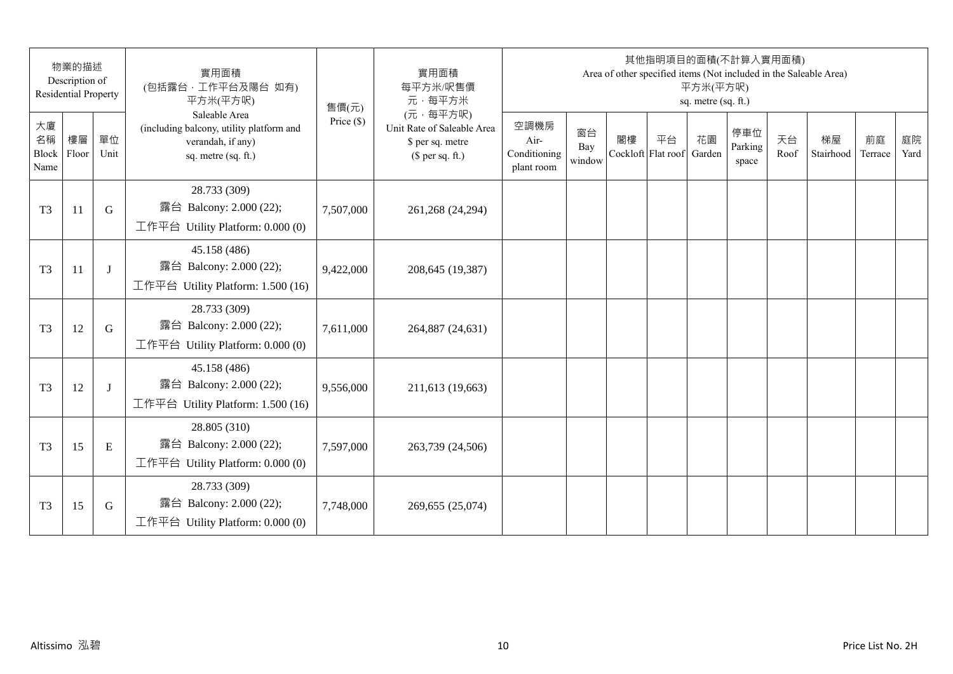|                                 | 物業的描述<br>Description of<br><b>Residential Property</b> |            | 實用面積<br>(包括露台,工作平台及陽台 如有)<br>平方米(平方呎)                                                                 | 售價(元)        | 實用面積<br>每平方米/呎售價<br>元·每平方米                                                     |                                            |                     |    | 其他指明項目的面積(不計算入實用面積)<br>Area of other specified items (Not included in the Saleable Area) | 平方米(平方呎)<br>sq. metre (sq. ft.) |                         |            |                 |               |            |
|---------------------------------|--------------------------------------------------------|------------|-------------------------------------------------------------------------------------------------------|--------------|--------------------------------------------------------------------------------|--------------------------------------------|---------------------|----|------------------------------------------------------------------------------------------|---------------------------------|-------------------------|------------|-----------------|---------------|------------|
| 大廈<br>名稱<br>Block Floor<br>Name | 樓層                                                     | 單位<br>Unit | Saleable Area<br>(including balcony, utility platform and<br>verandah, if any)<br>sq. metre (sq. ft.) | Price $(\$)$ | (元·每平方呎)<br>Unit Rate of Saleable Area<br>\$ per sq. metre<br>$$$ per sq. ft.) | 空調機房<br>Air-<br>Conditioning<br>plant room | 窗台<br>Bay<br>window | 閣樓 | 平台<br>Cockloft Flat roof                                                                 | 花園<br>Garden                    | 停車位<br>Parking<br>space | 天台<br>Roof | 梯屋<br>Stairhood | 前庭<br>Terrace | 庭院<br>Yard |
| T <sub>3</sub>                  | 11                                                     | G          | 28.733 (309)<br>露台 Balcony: 2.000 (22);<br>工作平台 Utility Platform: 0.000 (0)                           | 7,507,000    | 261,268 (24,294)                                                               |                                            |                     |    |                                                                                          |                                 |                         |            |                 |               |            |
| T <sub>3</sub>                  | 11                                                     | J          | 45.158 (486)<br>露台 Balcony: 2.000 (22);<br>工作平台 Utility Platform: 1.500 (16)                          | 9,422,000    | 208,645 (19,387)                                                               |                                            |                     |    |                                                                                          |                                 |                         |            |                 |               |            |
| T <sub>3</sub>                  | 12                                                     | G          | 28.733 (309)<br>露台 Balcony: 2.000 (22);<br>工作平台 Utility Platform: 0.000 (0)                           | 7,611,000    | 264,887 (24,631)                                                               |                                            |                     |    |                                                                                          |                                 |                         |            |                 |               |            |
| T <sub>3</sub>                  | 12                                                     | J          | 45.158 (486)<br>露台 Balcony: 2.000 (22);<br>工作平台 Utility Platform: 1.500 (16)                          | 9,556,000    | 211,613 (19,663)                                                               |                                            |                     |    |                                                                                          |                                 |                         |            |                 |               |            |
| T <sub>3</sub>                  | 15                                                     | E          | 28.805 (310)<br>露台 Balcony: 2.000 (22);<br>工作平台 Utility Platform: $0.000(0)$                          | 7,597,000    | 263,739 (24,506)                                                               |                                            |                     |    |                                                                                          |                                 |                         |            |                 |               |            |
| T <sub>3</sub>                  | 15                                                     | G          | 28.733 (309)<br>露台 Balcony: 2.000 (22);<br>工作平台 Utility Platform: 0.000 (0)                           | 7,748,000    | 269,655 (25,074)                                                               |                                            |                     |    |                                                                                          |                                 |                         |            |                 |               |            |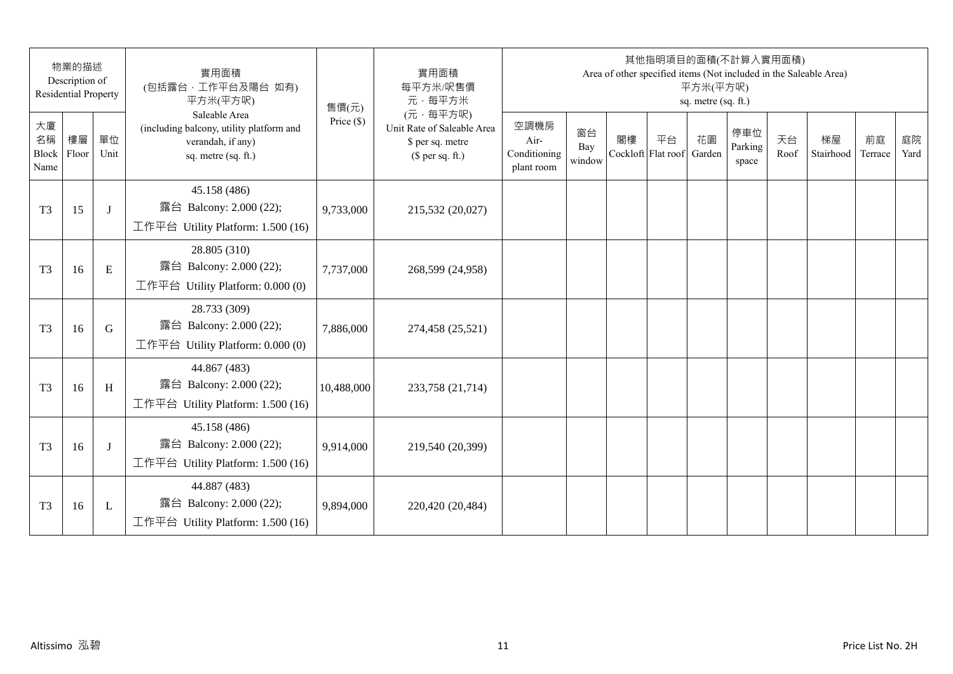| 物業的描述<br>Description of<br><b>Residential Property</b> |    |              | 實用面積<br>(包括露台,工作平台及陽台 如有)<br>平方米(平方呎)                                                                 | 售價(元)        | 實用面積<br>每平方米/呎售價<br>元·每平方米                                                     | 其他指明項目的面積(不計算入實用面積)<br>Area of other specified items (Not included in the Saleable Area)<br>平方米(平方呎)<br>sq. metre (sq. ft.) |                     |                          |    |              |                         |            |                 |               |            |
|--------------------------------------------------------|----|--------------|-------------------------------------------------------------------------------------------------------|--------------|--------------------------------------------------------------------------------|-----------------------------------------------------------------------------------------------------------------------------|---------------------|--------------------------|----|--------------|-------------------------|------------|-----------------|---------------|------------|
| 大廈<br>名稱<br>Block Floor<br>Name                        | 樓層 | 單位<br>Unit   | Saleable Area<br>(including balcony, utility platform and<br>verandah, if any)<br>sq. metre (sq. ft.) | Price $(\$)$ | (元·每平方呎)<br>Unit Rate of Saleable Area<br>\$ per sq. metre<br>$$$ per sq. ft.) | 空調機房<br>Air-<br>Conditioning<br>plant room                                                                                  | 窗台<br>Bay<br>window | 閣樓<br>Cockloft Flat roof | 平台 | 花園<br>Garden | 停車位<br>Parking<br>space | 天台<br>Roof | 梯屋<br>Stairhood | 前庭<br>Terrace | 庭院<br>Yard |
| T <sub>3</sub>                                         | 15 | J            | 45.158 (486)<br>露台 Balcony: 2.000 (22);<br>工作平台 Utility Platform: 1.500 (16)                          | 9,733,000    | 215,532 (20,027)                                                               |                                                                                                                             |                     |                          |    |              |                         |            |                 |               |            |
| T <sub>3</sub>                                         | 16 | E            | 28.805 (310)<br>露台 Balcony: 2.000 (22);<br>工作平台 Utility Platform: 0.000 (0)                           | 7,737,000    | 268,599 (24,958)                                                               |                                                                                                                             |                     |                          |    |              |                         |            |                 |               |            |
| T <sub>3</sub>                                         | 16 | G            | 28.733 (309)<br>露台 Balcony: 2.000 (22);<br>工作平台 Utility Platform: 0.000 (0)                           | 7,886,000    | 274,458 (25,521)                                                               |                                                                                                                             |                     |                          |    |              |                         |            |                 |               |            |
| T <sub>3</sub>                                         | 16 | H            | 44.867 (483)<br>露台 Balcony: 2.000 (22);<br>工作平台 Utility Platform: 1.500 (16)                          | 10,488,000   | 233,758 (21,714)                                                               |                                                                                                                             |                     |                          |    |              |                         |            |                 |               |            |
| T <sub>3</sub>                                         | 16 | J            | 45.158 (486)<br>露台 Balcony: 2.000 (22);<br>工作平台 Utility Platform: 1.500 (16)                          | 9,914,000    | 219,540 (20,399)                                                               |                                                                                                                             |                     |                          |    |              |                         |            |                 |               |            |
| T <sub>3</sub>                                         | 16 | $\mathbf{L}$ | 44.887 (483)<br>露台 Balcony: 2.000 (22);<br>工作平台 Utility Platform: $1.500(16)$                         | 9,894,000    | 220,420 (20,484)                                                               |                                                                                                                             |                     |                          |    |              |                         |            |                 |               |            |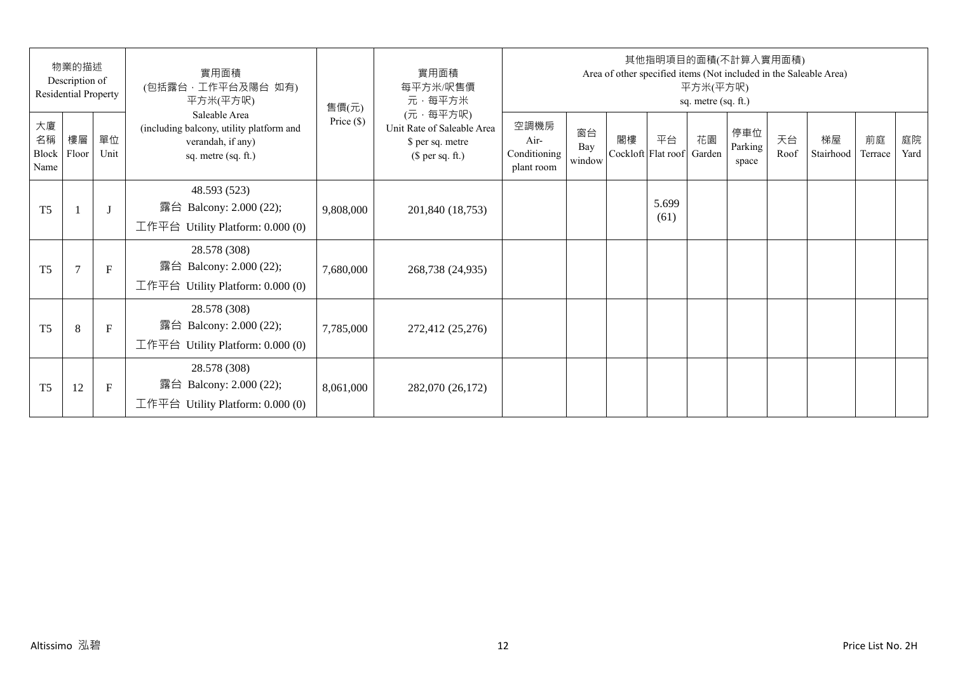| 物業的描述<br>Description of<br>Residential Property |                |              | 實用面積<br>(包括露台,工作平台及陽台 如有)<br>平方米(平方呎)                                                                 | 售價(元)        | 實用面積<br>每平方米/呎售價<br>元·每平方米                                                     | 其他指明項目的面積(不計算入實用面積)<br>Area of other specified items (Not included in the Saleable Area)<br>平方米(平方呎)<br>sq. metre (sq. ft.) |                     |    |                          |              |                         |            |                 |               |            |  |
|-------------------------------------------------|----------------|--------------|-------------------------------------------------------------------------------------------------------|--------------|--------------------------------------------------------------------------------|-----------------------------------------------------------------------------------------------------------------------------|---------------------|----|--------------------------|--------------|-------------------------|------------|-----------------|---------------|------------|--|
| 大廈<br>名稱<br>Block<br>Name                       | 樓層<br>Floor    | 單位<br>Unit   | Saleable Area<br>(including balcony, utility platform and<br>verandah, if any)<br>sq. metre (sq. ft.) | Price $(\$)$ | (元·每平方呎)<br>Unit Rate of Saleable Area<br>\$ per sq. metre<br>$$$ per sq. ft.) | 空調機房<br>Air-<br>Conditioning<br>plant room                                                                                  | 窗台<br>Bay<br>window | 閣樓 | 平台<br>Cockloft Flat roof | 花園<br>Garden | 停車位<br>Parking<br>space | 天台<br>Roof | 梯屋<br>Stairhood | 前庭<br>Terrace | 庭院<br>Yard |  |
| T <sub>5</sub>                                  |                | $\mathbf{J}$ | 48.593 (523)<br>露台 Balcony: 2.000 (22);<br>工作平台 Utility Platform: 0.000 (0)                           | 9,808,000    | 201,840 (18,753)                                                               |                                                                                                                             |                     |    | 5.699<br>(61)            |              |                         |            |                 |               |            |  |
| T <sub>5</sub>                                  | $\overline{7}$ | $\mathbf{F}$ | 28.578 (308)<br>露台 Balcony: 2.000 (22);<br>工作平台 Utility Platform: $0.000(0)$                          | 7,680,000    | 268,738 (24,935)                                                               |                                                                                                                             |                     |    |                          |              |                         |            |                 |               |            |  |
| T <sub>5</sub>                                  | 8              | $\mathbf{F}$ | 28.578 (308)<br>露台 Balcony: 2.000 (22);<br>工作平台 Utility Platform: $0.000(0)$                          | 7,785,000    | 272,412 (25,276)                                                               |                                                                                                                             |                     |    |                          |              |                         |            |                 |               |            |  |
| T <sub>5</sub>                                  | 12             | F            | 28.578 (308)<br>Balcony: 2.000 (22);<br>露台<br>工作平台 Utility Platform: $0.000(0)$                       | 8,061,000    | 282,070 (26,172)                                                               |                                                                                                                             |                     |    |                          |              |                         |            |                 |               |            |  |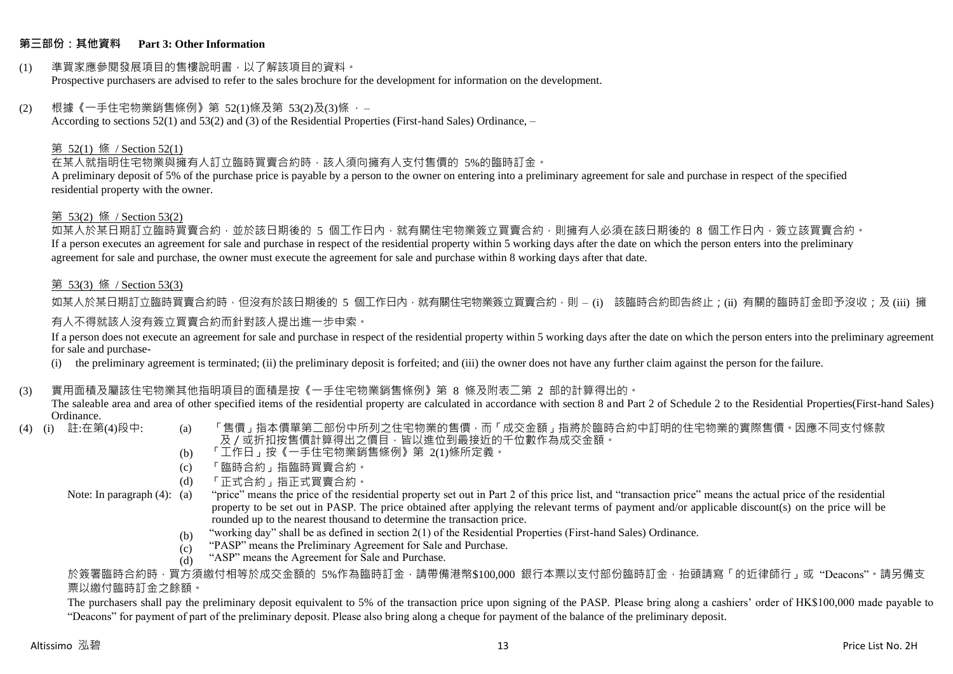#### **第三部份:其他資料 Part 3: Other Information**

#### (1) 準買家應參閱發展項目的售樓說明書,以了解該項目的資料。 Prospective purchasers are advised to refer to the sales brochure for the development for information on the development.

#### $(2)$  根據《一手住宅物業銷售條例》第 52(1)條及第 53(2)及(3)條,

According to sections 52(1) and 53(2) and (3) of the Residential Properties (First-hand Sales) Ordinance, –

## 第 52(1) 條 / Section 52(1)

在某人就指明住宅物業與擁有人訂立臨時買賣合約時,該人須向擁有人支付售價的 5%的臨時訂金。

A preliminary deposit of 5% of the purchase price is payable by a person to the owner on entering into a preliminary agreement for sale and purchase in respect of the specified residential property with the owner.

#### 第 53(2) 條 / Section 53(2)

如某人於某日期訂立臨時買賣合約,並於該日期後的 5 個工作日內,就有關住宅物業簽立買賣合約,則擁有人必須在該日期後的 8 個工作日內,簽立該買賣合約。 If a person executes an agreement for sale and purchase in respect of the residential property within 5 working days after the date on which the person enters into the preliminary agreement for sale and purchase, the owner must execute the agreement for sale and purchase within 8 working days after that date.

## 第 53(3) 條 / Section 53(3)

如某人於某日期訂立臨時買賣合約時,但沒有於該日期後的 5 個工作日內,就有關住宅物業簽立買賣合約,則 – (i) 該臨時合約即告終止;(ii) 有關的臨時訂金即予沒收;及 (iii) 擁 有人不得就該人沒有簽立買賣合約而針對該人提出進一步申索。

If a person does not execute an agreement for sale and purchase in respect of the residential property within 5 working days after the date on which the person enters into the preliminary agreement for sale and purchase-

(i) the preliminary agreement is terminated; (ii) the preliminary deposit is forfeited; and (iii) the owner does not have any further claim against the person for the failure.

#### (3) 實用面積及屬該住宅物業其他指明項目的面積是按《一手住宅物業銷售條例》第 8 條及附表二第 2 部的計算得出的。

The saleable area and area of other specified items of the residential property are calculated in accordance with section 8 and Part 2 of Schedule 2 to the Residential Properties(First-hand Sales) Ordinance.<br>(4) (i) 註:在第(4)段中:

- 
- (a) 「售價」指本價單第二部份中所列之住宅物業的售價,而「成交金額」指將於臨時合約中訂明的住宅物業的實際售價。因應不同支付條款 及/或折扣按售價計算得出之價目,皆以進位到最接近的千位數作為成交金額。
- (b) 「工作日」按《一手住宅物業銷售條例》第 2(1)條所定義。
- (c) 「臨時合約」指臨時買賣合約。
- (d) 「正式合約」指正式買賣合約。
- Note: In paragraph (4): (a)
- "price" means the price of the residential property set out in Part 2 of this price list, and "transaction price" means the actual price of the residential property to be set out in PASP. The price obtained after applying the relevant terms of payment and/or applicable discount(s) on the price will be rounded up to the nearest thousand to determine the transaction price.
	- (b) "working day" shall be as defined in section 2(1) of the Residential Properties (First-hand Sales) Ordinance.
	- (c) "PASP" means the Preliminary Agreement for Sale and Purchase.
	- (d) "ASP" means the Agreement for Sale and Purchase.

於簽署臨時合約時,買方須繳付相等於成交金額的 5%作為臨時訂金,請帶備港幣\$100,000 銀行本票以支付部份臨時訂金,抬頭請寫「的近律師行」或"Deacons"。請另備支 票以繳付臨時訂金之餘額。

The purchasers shall pay the preliminary deposit equivalent to 5% of the transaction price upon signing of the PASP. Please bring along a cashiers' order of HK\$100,000 made payable to "Deacons" for payment of part of the preliminary deposit. Please also bring along a cheque for payment of the balance of the preliminary deposit.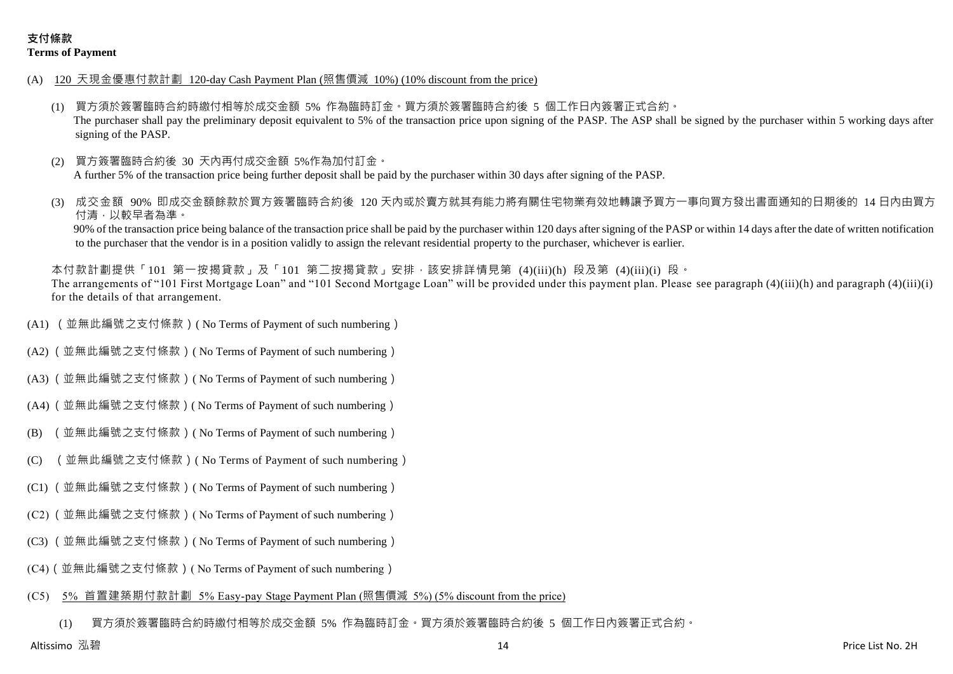- (A) 120 天現金優惠付款計劃 120-day Cash Payment Plan (照售價減 10%) (10% discount from the price)
	- (1) 買方須於簽署臨時合約時繳付相等於成交金額 5% 作為臨時訂金。買方須於簽署臨時合約後 5 個工作日內簽署正式合約。 The purchaser shall pay the preliminary deposit equivalent to 5% of the transaction price upon signing of the PASP. The ASP shall be signed by the purchaser within 5 working days after signing of the PASP.
	- (2) 買方簽署臨時合約後 30 天內再付成交金額 5%作為加付訂金。 A further 5% of the transaction price being further deposit shall be paid by the purchaser within 30 days after signing of the PASP.
	- 成交金額 90% 即成交金額餘款於買方簽署臨時合約後 120 天内或於賣方就其有能力將有關住宅物業有效地轉讓予買方一事向買方發出書面通知的日期後的 14 日內由買方 付清,以較早者為準。

90% of the transaction price being balance of the transaction price shall be paid by the purchaser within 120 days after signing of the PASP or within 14 days after the date of written notification to the purchaser that the vendor is in a position validly to assign the relevant residential property to the purchaser, whichever is earlier.

本付款計劃提供「101 第一按揭貸款」及「101 第二按揭貸款」安排,該安排詳情見第 (4)(iii)(h) 段及第 (4)(iii)(i) 段。 The arrangements of "101 First Mortgage Loan" and "101 Second Mortgage Loan" will be provided under this payment plan. Please see paragraph (4)(iii)(h) and paragraph (4)(iii)(i) for the details of that arrangement.

- (A1) (並無此編號之支付條款)( No Terms of Payment of such numbering)
- (A2) (並無此編號之支付條款)( No Terms of Payment of such numbering)
- (A3) (並無此編號之支付條款)( No Terms of Payment of such numbering)
- (A4) (並無此編號之支付條款)( No Terms of Payment of such numbering)
- (B) (並無此編號之支付條款)( No Terms of Payment of such numbering)
- (C) (並無此編號之支付條款)( No Terms of Payment of such numbering)
- (C1) (並無此編號之支付條款)( No Terms of Payment of such numbering)
- (C2) (並無此編號之支付條款)( No Terms of Payment of such numbering)
- (C3) (並無此編號之支付條款)( No Terms of Payment of such numbering)
- (C4)(並無此編號之支付條款)( No Terms of Payment of such numbering)

#### (C5) 5% 首置建築期付款計劃 5% Easy-pay Stage Payment Plan (照售價減 5%) (5% discount from the price)

(1) 買方須於簽署臨時合約時繳付相等於成交金額 5% 作為臨時訂金。買方須於簽署臨時合約後 5 個工作日內簽署正式合約。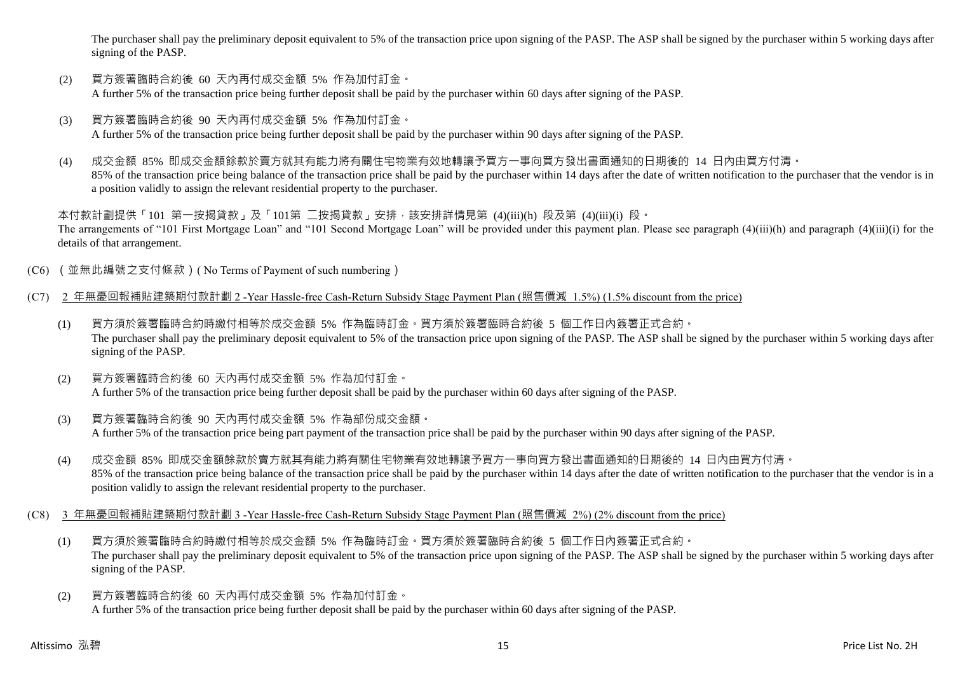The purchaser shall pay the preliminary deposit equivalent to 5% of the transaction price upon signing of the PASP. The ASP shall be signed by the purchaser within 5 working days after signing of the PASP.

- (2) 買方簽署臨時合約後 60 天內再付成交金額 5% 作為加付訂金。 A further 5% of the transaction price being further deposit shall be paid by the purchaser within 60 days after signing of the PASP.
- (3) 買方簽署臨時合約後 90 天內再付成交金額 5% 作為加付訂金。 A further 5% of the transaction price being further deposit shall be paid by the purchaser within 90 days after signing of the PASP.
- (4) 成交金額 85% 即成交金額餘款於賣方就其有能力將有關住宅物業有效地轉讓予買方一事向買方發出書面通知的日期後的 14 日內由買方付清。 85% of the transaction price being balance of the transaction price shall be paid by the purchaser within 14 days after the date of written notification to the purchaser that the vendor is in a position validly to assign the relevant residential property to the purchaser.

本付款計劃提供「101 第一按揭貸款」及「101第 二按揭貸款」安排,該安排詳情見第 (4)(iii)(h) 段及第 (4)(iii)(i) 段。 The arrangements of "101 First Mortgage Loan" and "101 Second Mortgage Loan" will be provided under this payment plan. Please see paragraph (4)(iii)(h) and paragraph (4)(iii)(i) for the details of that arrangement.

- (C6) (並無此編號之支付條款)( No Terms of Payment of such numbering)
- (C7) 2 年無憂回報補貼建築期付款計劃 2 -Year Hassle-free Cash-Return Subsidy Stage Payment Plan (照售價減 1.5%) (1.5% discount from the price)
	- (1) 買方須於簽署臨時合約時繳付相等於成交金額 5% 作為臨時訂金。買方須於簽署臨時合約後 5 個工作日內簽署正式合約。 The purchaser shall pay the preliminary deposit equivalent to 5% of the transaction price upon signing of the PASP. The ASP shall be signed by the purchaser within 5 working days after signing of the PASP.
	- (2) 買方簽署臨時合約後 60 天內再付成交金額 5% 作為加付訂金。 A further 5% of the transaction price being further deposit shall be paid by the purchaser within 60 days after signing of the PASP.
	- (3) 買方簽署臨時合約後 90 天內再付成交金額 5% 作為部份成交金額。 A further 5% of the transaction price being part payment of the transaction price shall be paid by the purchaser within 90 days after signing of the PASP.
	- (4) 成交金額 85% 即成交金額餘款於賣方就其有能力將有關住宅物業有效地轉讓予買方一事向買方發出書面通知的日期後的 14 日內由買方付清。 85% of the transaction price being balance of the transaction price shall be paid by the purchaser within 14 days after the date of written notification to the purchaser that the vendor is in a position validly to assign the relevant residential property to the purchaser.
- (C8) 3 年無憂回報補貼建築期付款計劃 3 -Year Hassle-free Cash-Return Subsidy Stage Payment Plan (照售價減 2%) (2% discount from the price)
	- (1) 買方須於簽署臨時合約時繳付相等於成交金額 5% 作為臨時訂金。買方須於簽署臨時合約後 5 個工作日內簽署正式合約。 The purchaser shall pay the preliminary deposit equivalent to 5% of the transaction price upon signing of the PASP. The ASP shall be signed by the purchaser within 5 working days after signing of the PASP.
	- (2) 買方簽署臨時合約後 60 天內再付成交金額 5% 作為加付訂金。 A further 5% of the transaction price being further deposit shall be paid by the purchaser within 60 days after signing of the PASP.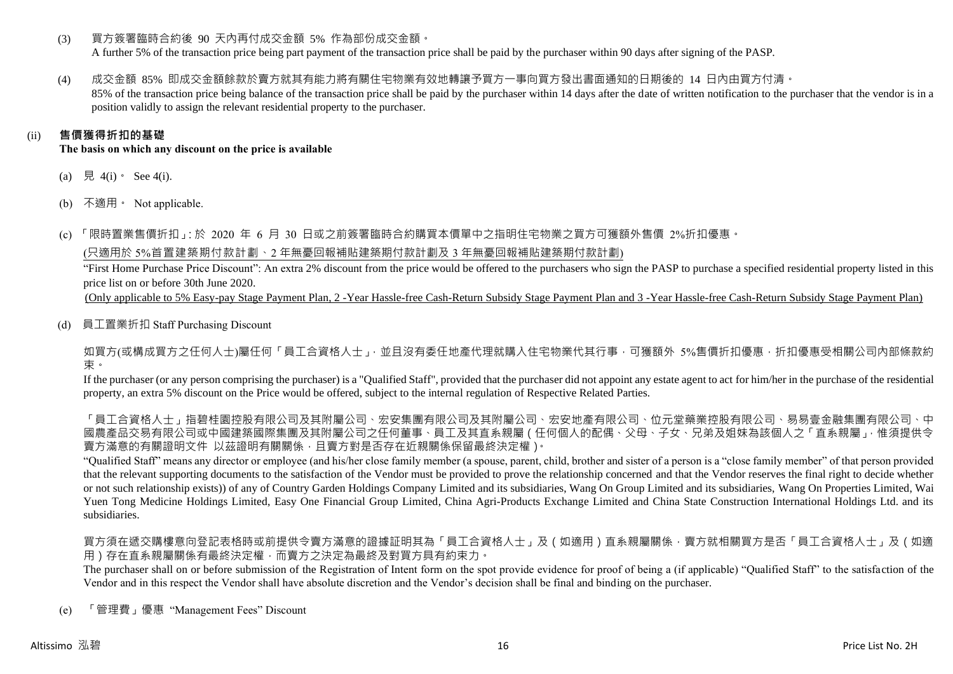(3) 買方簽署臨時合約後 90 天內再付成交金額 5% 作為部份成交金額。

A further 5% of the transaction price being part payment of the transaction price shall be paid by the purchaser within 90 days after signing of the PASP.

(4) 成交金額 85% 即成交金額餘款於賣方就其有能力將有關住宅物業有效地轉讓予買方一事向買方發出書面通知的日期後的 14 日內由買方付清。 85% of the transaction price being balance of the transaction price shall be paid by the purchaser within 14 days after the date of written notification to the purchaser that the vendor is in a position validly to assign the relevant residential property to the purchaser.

# (ii) **售價獲得折扣的基礎**

**The basis on which any discount on the price is available**

- (a) 見 4(i)  $\text{See } 4(i)$ .
- (b) 不適用。 Not applicable.

(c) 「限時置業售價折扣」:於 2020 年 6 月 30 日或之前簽署臨時合約購買本價單中之指明住宅物業之買方可獲額外售價 2%折扣優惠。

(只適用於 5%首置建築期付款計劃、2 年無憂回報補貼建築期付款計劃及 3 年無憂回報補貼建築期付款計劃)

"First Home Purchase Price Discount": An extra 2% discount from the price would be offered to the purchasers who sign the PASP to purchase a specified residential property listed in this price list on or before 30th June 2020.

(Only applicable to 5% Easy-pay Stage Payment Plan, 2 -Year Hassle-free Cash-Return Subsidy Stage Payment Plan and 3 -Year Hassle-free Cash-Return Subsidy Stage Payment Plan)

(d) 員工置業折扣 Staff Purchasing Discount

如買方(或構成買方之任何人士)屬任何「員工合資格人士」,並且沒有委任地產代理就購入住宅物業代其行事,可獲額外 5%售價折扣優惠,折扣優惠受相關公司內部條款約 束。

If the purchaser (or any person comprising the purchaser) is a "Qualified Staff", provided that the purchaser did not appoint any estate agent to act for him/her in the purchase of the residential property, an extra 5% discount on the Price would be offered, subject to the internal regulation of Respective Related Parties.

「員工合資格人士」指碧桂園控股有限公司及其國有限公司及其內屬公司、宏安地產有限公司、位元堂藥業控股有限公司、易易壹金融集團有限公司、中 國農產品交易有限公司或中國建築國際集團及其附屬公司之任何董事、員工及其直系親屬(任何個人的配偶、父母、子女、兄弟及姐妹為該個人之「直系親屬」,惟須提供令 賣方滿意的有關證明文件 以茲證明有關關係,且賣方對是否存在近親關係保留最終決定權)。

"Qualified Staff" means any director or employee (and his/her close family member (a spouse, parent, child, brother and sister of a person is a "close family member" of that person provided that the relevant supporting documents to the satisfaction of the Vendor must be provided to prove the relationship concerned and that the Vendor reserves the final right to decide whether or not such relationship exists)) of any of Country Garden Holdings Company Limited and its subsidiaries, Wang On Group Limited and its subsidiaries, Wang On Properties Limited, Wai Yuen Tong Medicine Holdings Limited, Easy One Financial Group Limited, China Agri-Products Exchange Limited and China State Construction International Holdings Ltd. and its subsidiaries.

買方須在遞交購樓意向登記表格時或前提供令賣方滿意的證據証明其為「員工合資格人士」及(如適用)直系親屬關係,賣方就相關買方是否「員工合資格人士」及(如適 用)存在直系親屬關係有最終決定權,而賣方之決定為最終及對買方具有約束力。

The purchaser shall on or before submission of the Registration of Intent form on the spot provide evidence for proof of being a (if applicable) "Qualified Staff" to the satisfaction of the Vendor and in this respect the Vendor shall have absolute discretion and the Vendor's decision shall be final and binding on the purchaser.

(e) 「管理費」優惠 "Management Fees" Discount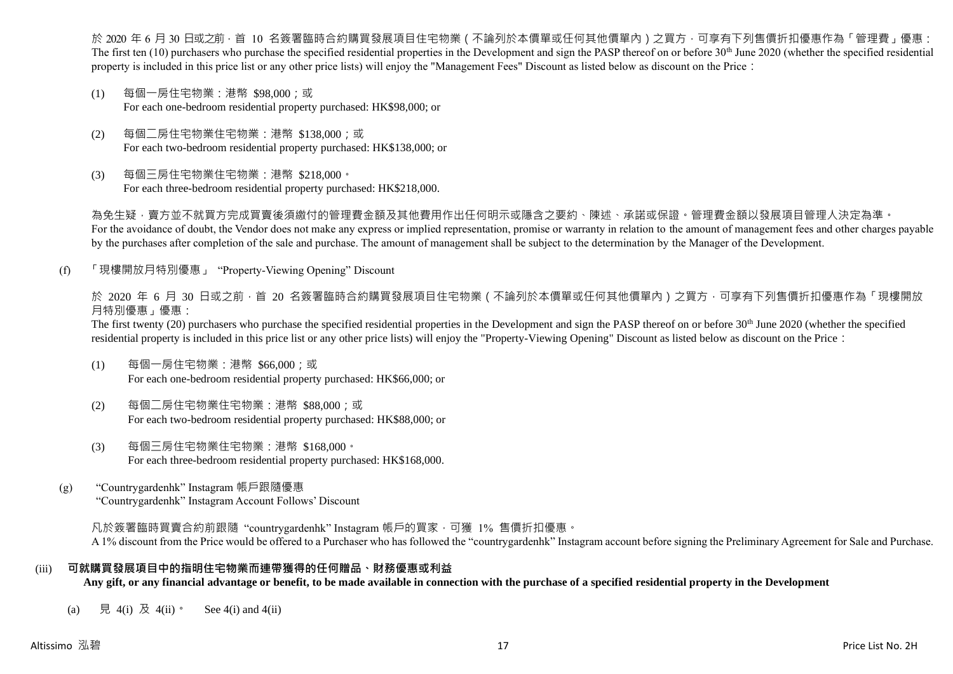於 2020 年 6 月 30 日或之前 · 首 10 名簽署臨時合約購買發展項目住宅物業(不論列於本價單或任何其他價單內)之買方 · 可享有下列售價折扣優惠作為「管理費」優惠: The first ten  $(10)$  purchasers who purchase the specified residential properties in the Development and sign the PASP thereof on or before 30<sup>th</sup> June 2020 (whether the specified residential property is included in this price list or any other price lists) will enjoy the "Management Fees" Discount as listed below as discount on the Price:

- (1) 每個一房住宅物業:港幣 \$98,000;或 For each one-bedroom residential property purchased: HK\$98,000; or
- (2) 每個二房住宅物業住宅物業:港幣 \$138,000;或 For each two-bedroom residential property purchased: HK\$138,000; or
- (3) 每個三房住宅物業住宅物業:港幣 \$218,000。 For each three-bedroom residential property purchased: HK\$218,000.

為免生疑,賣方並不就買方完成買賣後須繳付的管理費金額及其他費用作出任何明示或隱含之要約、陳述、承諾或保證。管理費金額以發展項目管理人決定為準。 For the avoidance of doubt, the Vendor does not make any express or implied representation, promise or warranty in relation to the amount of management fees and other charges payable by the purchases after completion of the sale and purchase. The amount of management shall be subject to the determination by the Manager of the Development.

(f) 「現樓開放月特別優惠」 "Property-Viewing Opening" Discount

於 2020 年 6 月 30 日或之前 · 首 20 名簽署臨時合約購買發展項目住宅物業 ( 不論列於本價單或任何其他價單內 ) 之買方 · 可享有下列售價折扣優惠作為「現樓開放 月特別優惠」優惠:

The first twenty (20) purchasers who purchase the specified residential properties in the Development and sign the PASP thereof on or before 30<sup>th</sup> June 2020 (whether the specified residential property is included in this price list or any other price lists) will enjoy the "Property-Viewing Opening" Discount as listed below as discount on the Price:

- (1) 每個一房住宅物業:港幣 \$66,000;或 For each one-bedroom residential property purchased: HK\$66,000; or
- (2) 每個二房住宅物業住宅物業:港幣 \$88,000;或 For each two-bedroom residential property purchased: HK\$88,000; or
- (3) 每個三房住宅物業住宅物業:港幣 \$168,000。 For each three-bedroom residential property purchased: HK\$168,000.
- (g) "Countrygardenhk" Instagram 帳戶跟隨優惠 "Countrygardenhk" Instagram Account Follows' Discount

凡於簽署臨時買賣合約前跟隨"countrygardenhk" Instagram 帳戶的買家,可獲 1% 售價折扣優惠。 A 1% discount from the Price would be offered to a Purchaser who has followed the "countrygardenhk" Instagram account before signing the Preliminary Agreement for Sale and Purchase.

#### (iii) **可就購買發展項目中的指明住宅物業而連帶獲得的任何贈品、財務優惠或利益**

**Any gift, or any financial advantage or benefit, to be made available in connection with the purchase of a specified residential property in the Development**

(a) 見 4(i) 及 4(ii)。 See 4(i) and 4(ii)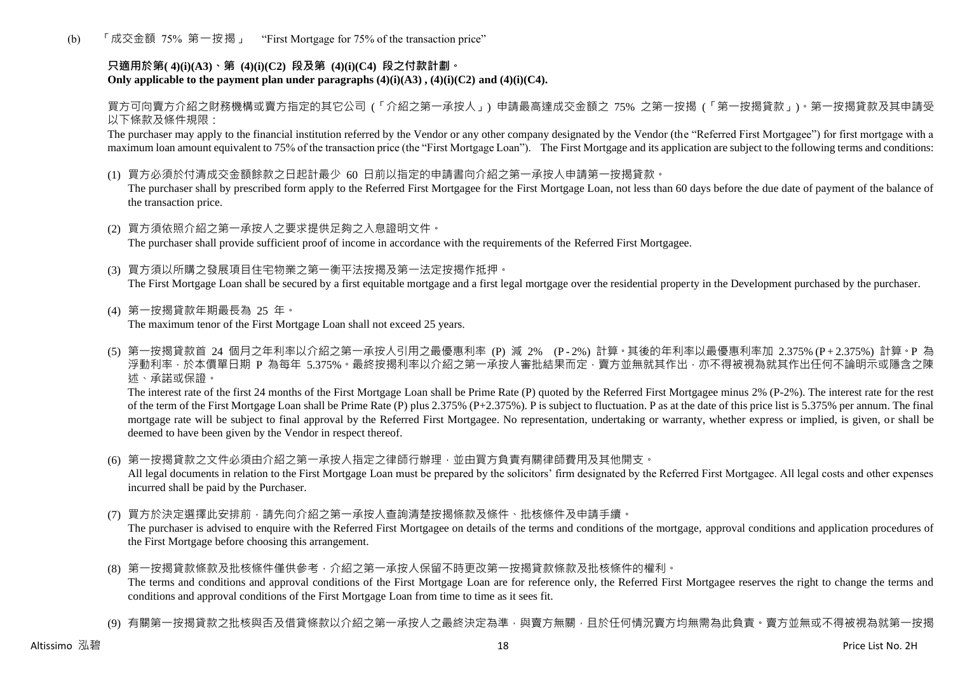(b) 「成交金額 75% 第一按揭」 "First Mortgage for 75% of the transaction price"

## **只適用於第( 4)(i)(A3)、第 (4)(i)(C2) 段及第 (4)(i)(C4) 段之付款計劃。** Only applicable to the payment plan under paragraphs  $(4)(i)(A3)$ ,  $(4)(i)(C2)$  and  $(4)(i)(C4)$ .

買方可向賣方介紹之財務機構或賣方指定的其它公司 (「介紹之第一承按人」) 申請最高達成交金額之 75% 之第一按揭 (「第一按揭貸款」)。第一按揭貸款及其申請受 以下條款及條件規限:

The purchaser may apply to the financial institution referred by the Vendor or any other company designated by the Vendor (the "Referred First Mortgagee") for first mortgage with a maximum loan amount equivalent to 75% of the transaction price (the "First Mortgage Loan"). The First Mortgage and its application are subject to the following terms and conditions:

(1) 買方必須於付清成交金額餘款之日起計最少 60 日前以指定的申請書向介紹之第一承按人申請第一按揭貸款。

The purchaser shall by prescribed form apply to the Referred First Mortgagee for the First Mortgage Loan, not less than 60 days before the due date of payment of the balance of the transaction price.

- (2) 買方須依照介紹之第一承按人之要求提供足夠之入息證明文件。 The purchaser shall provide sufficient proof of income in accordance with the requirements of the Referred First Mortgagee.
- (3) 買方須以所購之發展項目住宅物業之第一衡平法按揭及第一法定按揭作抵押。 The First Mortgage Loan shall be secured by a first equitable mortgage and a first legal mortgage over the residential property in the Development purchased by the purchaser.
- (4) 第一按揭貸款年期最長為 25 年。 The maximum tenor of the First Mortgage Loan shall not exceed 25 years.
- (5) 第一按揭貸款首 24 個月之年利率以介紹之第一承按人引用之最優惠利率 (P) 減 2% (P 2%) 計算。其後的年利率以最優惠利率加 2.375% (P + 2.375%) 計算。P 為 浮動利率,於本價單日期 P 為每年 5.375%。最終按揭利率以介紹之第一承按人審批結果而定,賣方並無就其作出,亦不得被視為就其作出任何不論明示或隱含之陳 述、承諾或保證。

The interest rate of the first 24 months of the First Mortgage Loan shall be Prime Rate (P) quoted by the Referred First Mortgagee minus 2% (P-2%). The interest rate for the rest of the term of the First Mortgage Loan shall be Prime Rate (P) plus 2.375% (P+2.375%). P is subject to fluctuation. P as at the date of this price list is 5.375% per annum. The final mortgage rate will be subject to final approval by the Referred First Mortgagee. No representation, undertaking or warranty, whether express or implied, is given, or shall be deemed to have been given by the Vendor in respect thereof.

(6) 第一按揭貸款之文件必須由介紹之第一承按人指定之律師行辦理,並由買方負責有關律師費用及其他開支。

All legal documents in relation to the First Mortgage Loan must be prepared by the solicitors' firm designated by the Referred First Mortgagee. All legal costs and other expenses incurred shall be paid by the Purchaser.

(7) 買方於決定選擇此安排前,請先向介紹之第一承按人查詢清楚按揭條款及條件、批核條件及申請手續。

The purchaser is advised to enquire with the Referred First Mortgagee on details of the terms and conditions of the mortgage, approval conditions and application procedures of the First Mortgage before choosing this arrangement.

- (8) 第一按揭貸款條款及批核條件僅供參考,介紹之第一承按人保留不時更改第一按揭貸款條款及批核條件的權利。 The terms and conditions and approval conditions of the First Mortgage Loan are for reference only, the Referred First Mortgagee reserves the right to change the terms and conditions and approval conditions of the First Mortgage Loan from time to time as it sees fit.
- (9) 有關第一按揭貸款之批核與否及借貸條款以介紹之第一承按人之最終決定為準,與賣方無關,目於任何情況賣方均無需為此負責。賣方並無或不得被視為就第一按揭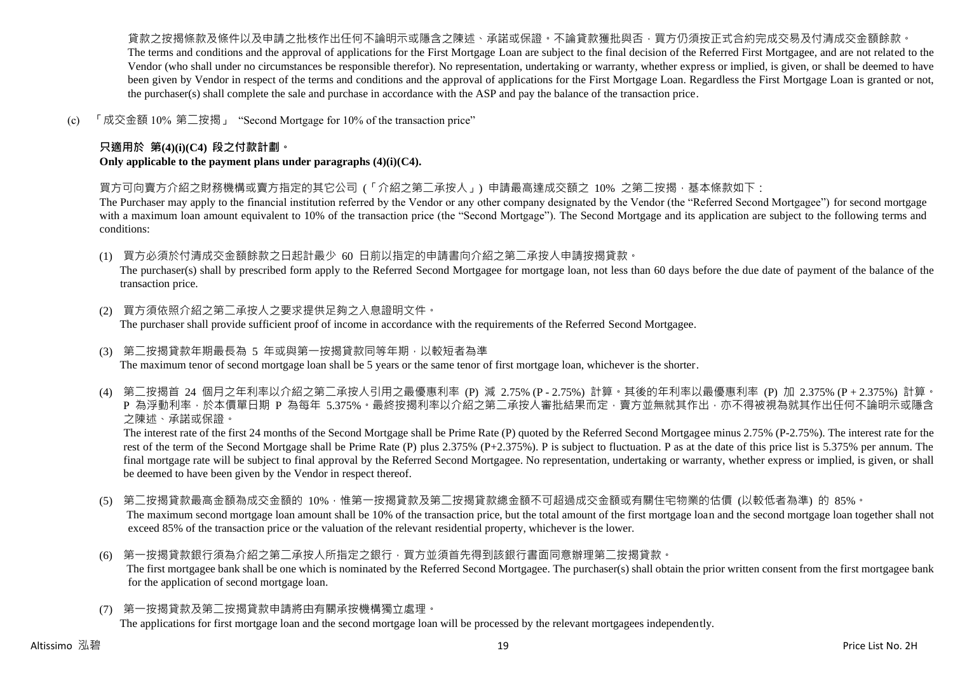貨款之按揭條款及條件以及申請之批核作出任何不論明示或隱含之陳述、承諾或保證。不論貸款獲批與否,買方仍須按正式合約完成交易及付清成交金額餘款。 The terms and conditions and the approval of applications for the First Mortgage Loan are subject to the final decision of the Referred First Mortgagee, and are not related to the Vendor (who shall under no circumstances be responsible therefor). No representation, undertaking or warranty, whether express or implied, is given, or shall be deemed to have been given by Vendor in respect of the terms and conditions and the approval of applications for the First Mortgage Loan. Regardless the First Mortgage Loan is granted or not, the purchaser(s) shall complete the sale and purchase in accordance with the ASP and pay the balance of the transaction price.

(c) 「成交金額 10% 第二按揭」 "Second Mortgage for 10% of the transaction price"

## **只適用於 第(4)(i)(C4) 段之付款計劃。**

**Only applicable to the payment plans under paragraphs (4)(i)(C4).**

買方可向賣方介紹之財務機構或賣方指定的其它公司 (「介紹之第二承按人」) 申請最高達成交額之 10% 之第二按揭,基本條款如下:

The Purchaser may apply to the financial institution referred by the Vendor or any other company designated by the Vendor (the "Referred Second Mortgagee") for second mortgage with a maximum loan amount equivalent to 10% of the transaction price (the "Second Mortgage"). The Second Mortgage and its application are subject to the following terms and conditions:

(1) 買方必須於付清成交金額餘款之日起計最少 60 日前以指定的申請書向介紹之第二承按人申請按揭貸款。

The purchaser(s) shall by prescribed form apply to the Referred Second Mortgagee for mortgage loan, not less than 60 days before the due date of payment of the balance of the transaction price.

- (2) 買方須依照介紹之第二承按人之要求提供足夠之入息證明文件。 The purchaser shall provide sufficient proof of income in accordance with the requirements of the Referred Second Mortgagee.
- (3) 第二按揭貸款年期最長為 5 年或與第一按揭貸款同等年期,以較短者為準 The maximum tenor of second mortgage loan shall be 5 years or the same tenor of first mortgage loan, whichever is the shorter.
- (4) 第二按揭首 24 個月之年利率以介紹之第二承按人引用之最優惠利率 (P) 減 2.75% (P 2.75%) 計算。其後的年利率以最優惠利率 (P) 加 2.375% (P + 2.375%) 計算。 P 為浮動利率,於本價單日期 P 為每年 5.375%。最終按揭利率以介紹之第二承按人審批結果而定,賣方並無就其作出,亦不得被視為就其作出任何不論明示或隱含 之陳述、承諾或保證。

The interest rate of the first 24 months of the Second Mortgage shall be Prime Rate (P) quoted by the Referred Second Mortgagee minus 2.75% (P-2.75%). The interest rate for the rest of the term of the Second Mortgage shall be Prime Rate (P) plus 2.375% (P+2.375%). P is subject to fluctuation. P as at the date of this price list is 5.375% per annum. The final mortgage rate will be subject to final approval by the Referred Second Mortgagee. No representation, undertaking or warranty, whether express or implied, is given, or shall be deemed to have been given by the Vendor in respect thereof.

- (5) 第二按揭貸款最高金額為成交金額的 10%,惟第一按揭貸款及第二按揭貸款總金額不可超過成交金額或有關住宅物業的估價 (以較低者為準) 的 85%。 The maximum second mortgage loan amount shall be 10% of the transaction price, but the total amount of the first mortgage loan and the second mortgage loan together shall not exceed 85% of the transaction price or the valuation of the relevant residential property, whichever is the lower.
- (6) 第一按揭貸款銀行須為介紹之第二承按人所指定之銀行,買方並須首先得到該銀行書面同意辦理第二按揭貸款。 The first mortgagee bank shall be one which is nominated by the Referred Second Mortgagee. The purchaser(s) shall obtain the prior written consent from the first mortgagee bank for the application of second mortgage loan.
- (7) 第一按揭貸款及第二按揭貸款申請將由有關承按機構獨立處理。

The applications for first mortgage loan and the second mortgage loan will be processed by the relevant mortgagees independently.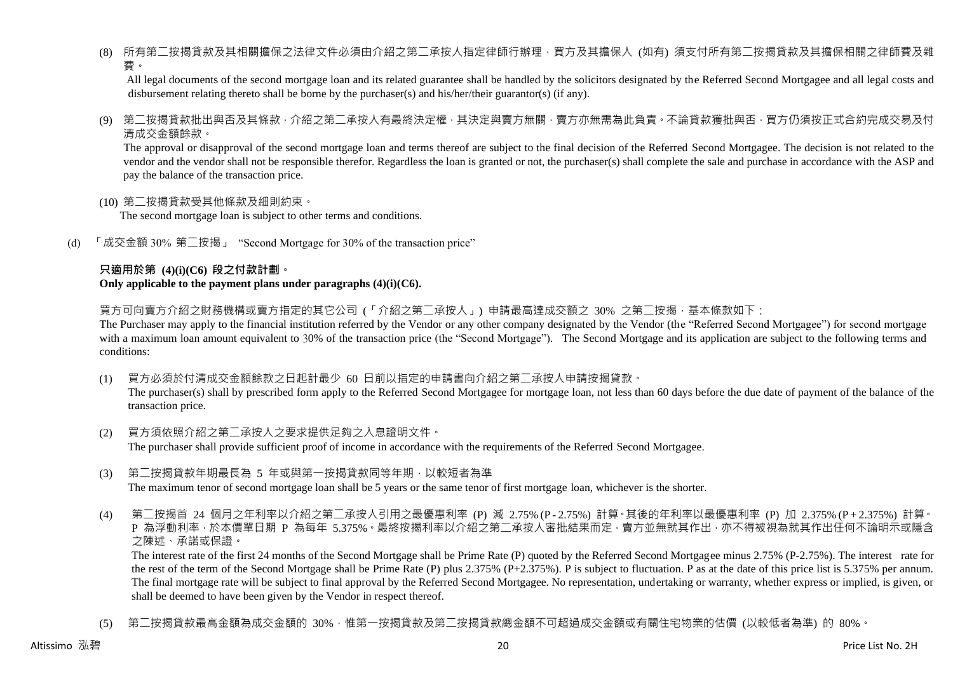(8) 所有第二按揭貸款及其相關擔保之法律文件必須由介紹之第二承按人指定律師行辦理,買方及其擔保人 (如有) 須支付所有第二按揭貸款及其擔保相關之律師費及雜 費。

All legal documents of the second mortgage loan and its related guarantee shall be handled by the solicitors designated by the Referred Second Mortgagee and all legal costs and disbursement relating thereto shall be borne by the purchaser(s) and his/her/their guarantor(s) (if any).

(9) 第二按揭貸款批出與否及其條款,介紹之第二承按人有最終決定權,其決定與賣方無關,賣方亦無需為此負責。不論貸款獲批與否,買方仍須按正式合約完成交易及付 清成交金額餘款。

The approval or disapproval of the second mortgage loan and terms thereof are subject to the final decision of the Referred Second Mortgagee. The decision is not related to the vendor and the vendor shall not be responsible therefor. Regardless the loan is granted or not, the purchaser(s) shall complete the sale and purchase in accordance with the ASP and pay the balance of the transaction price.

(10) 第二按揭貸款受其他條款及細則約束。

The second mortgage loan is subject to other terms and conditions.

(d) 「成交金額 30% 第二按揭」 "Second Mortgage for 30% of the transaction price"

#### **只適用於第 (4)(i)(C6) 段之付款計劃。 Only applicable to the payment plans under paragraphs (4)(i)(C6).**

買方可向賣方介紹之財務機構或賣方指定的其它公司 (「介紹之第二承按人」) 申請最高達成交額之 30% 之第二按揭 · 基本條款如下:

The Purchaser may apply to the financial institution referred by the Vendor or any other company designated by the Vendor (the "Referred Second Mortgagee") for second mortgage with a maximum loan amount equivalent to 30% of the transaction price (the "Second Mortgage"). The Second Mortgage and its application are subject to the following terms and conditions:

(1) 買方必須於付清成交金額餘款之日起計最少 60 日前以指定的申請書向介紹之第二承按人申請按揭貸款。

The purchaser(s) shall by prescribed form apply to the Referred Second Mortgagee for mortgage loan, not less than 60 days before the due date of payment of the balance of the transaction price.

- (2) 買方須依照介紹之第二承按人之要求提供足夠之入息證明文件。 The purchaser shall provide sufficient proof of income in accordance with the requirements of the Referred Second Mortgagee.
- (3) 第二按揭貸款年期最長為 5 年或與第一按揭貸款同等年期,以較短者為準 The maximum tenor of second mortgage loan shall be 5 years or the same tenor of first mortgage loan, whichever is the shorter.
- (4) 第二按揭首 24 個月之年利率以介紹之第二承按人引用之最優惠利率 (P) 減 2.75% (P 2.75%) 計算。其後的年利率以最優惠利率 (P) 加 2.375% (P + 2.375%) 計算。 P 為浮動利率,於本價單日期 P 為每年 5.375%。最終按揭利率以介紹之第二承按人審批結果而定,賣方並無就其作出,亦不得被視為就其作出任何不論明示或隱含 之陳述、承諾或保證。

The interest rate of the first 24 months of the Second Mortgage shall be Prime Rate (P) quoted by the Referred Second Mortgagee minus 2.75% (P-2.75%). The interest rate for the rest of the term of the Second Mortgage shall be Prime Rate (P) plus 2.375% (P+2.375%). P is subject to fluctuation. P as at the date of this price list is 5.375% per annum. The final mortgage rate will be subject to final approval by the Referred Second Mortgagee. No representation, undertaking or warranty, whether express or implied, is given, or shall be deemed to have been given by the Vendor in respect thereof.

(5) 第二按揭貸款最高金額為成交金額的 30%,惟第一按揭貸款及第二按揭貸款總金額不可超過成交金額或有關住宅物業的估價 (以較低者為準) 的 80%。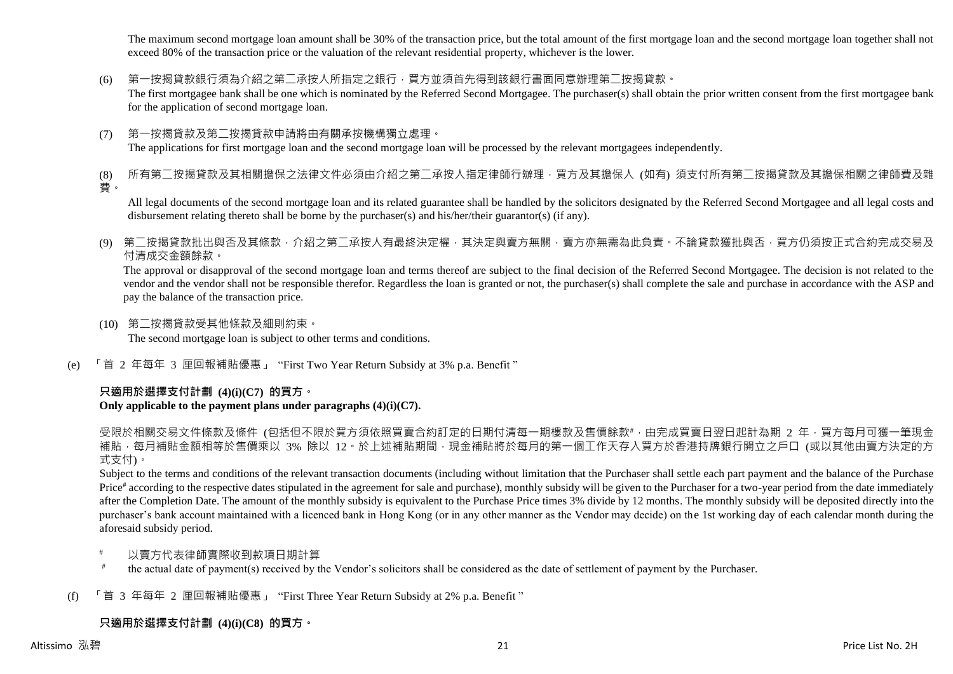The maximum second mortgage loan amount shall be 30% of the transaction price, but the total amount of the first mortgage loan and the second mortgage loan together shall not exceed 80% of the transaction price or the valuation of the relevant residential property, whichever is the lower.

(6) 第一按揭貸款銀行須為介紹之第二承按人所指定之銀行,買方並須首先得到該銀行書面同意辦理第二按揭貸款。

The first mortgagee bank shall be one which is nominated by the Referred Second Mortgagee. The purchaser(s) shall obtain the prior written consent from the first mortgagee bank for the application of second mortgage loan.

(7) 第一按揭貸款及第二按揭貸款申請將由有關承按機構獨立處理。 The applications for first mortgage loan and the second mortgage loan will be processed by the relevant mortgagees independently.

(8) 所有第二按揭貸款及其相關擔保之法律文件必須由介紹之第二承按人指定律師行辦理,買方及其擔保人 (如有) 須支付所有第二按揭貸款及其擔保相關之律師費及雜 費。

All legal documents of the second mortgage loan and its related guarantee shall be handled by the solicitors designated by the Referred Second Mortgagee and all legal costs and disbursement relating thereto shall be borne by the purchaser(s) and his/her/their guarantor(s) (if any).

(9) 第二按揭貸款批出與否及其條款,介紹之第二承按人有最終決定權,其決定與賣方無關,賣方亦無需為此負責。不論貸款獲批與否,買方仍須按正式合約完成交易及 付清成交金額餘款。

The approval or disapproval of the second mortgage loan and terms thereof are subject to the final decision of the Referred Second Mortgagee. The decision is not related to the vendor and the vendor shall not be responsible therefor. Regardless the loan is granted or not, the purchaser(s) shall complete the sale and purchase in accordance with the ASP and pay the balance of the transaction price.

- (10) 第二按揭貸款受其他條款及細則約束。 The second mortgage loan is subject to other terms and conditions.
- (e) 「首 2 年每年 3 厘回報補貼優惠」 "First Two Year Return Subsidy at 3% p.a. Benefit "

# **只適用於選擇支付計劃 (4)(i)(C7) 的買方。**

## **Only applicable to the payment plans under paragraphs (4)(i)(C7).**

受限於相關交易文件條款及條件 (包括但不限於買方須依照買賣合約訂定的日期付清每一期樓款及售價餘款#,由完成買賣日翌日起計為期 2 年,買方每月可獲一筆現金 補貼,每月補貼金額相等於售價乘以 3% 除以 12。於上述補貼期間,現金補貼將於每月的第一個工作天存入買方於香港持牌銀行開立之戶口 (或以其他由賣方決定的方 式支付)。

Subject to the terms and conditions of the relevant transaction documents (including without limitation that the Purchaser shall settle each part payment and the balance of the Purchase Price<sup>#</sup> according to the respective dates stipulated in the agreement for sale and purchase), monthly subsidy will be given to the Purchaser for a two-year period from the date immediately after the Completion Date. The amount of the monthly subsidy is equivalent to the Purchase Price times 3% divide by 12 months. The monthly subsidy will be deposited directly into the purchaser's bank account maintained with a licenced bank in Hong Kong (or in any other manner as the Vendor may decide) on the 1st working day of each calendar month during the aforesaid subsidy period.

- 以賣方代表律師實際收到款項日期計算
- # the actual date of payment(s) received by the Vendor's solicitors shall be considered as the date of settlement of payment by the Purchaser.
- (f) 「首 3 年每年 2 厘回報補貼優惠」 "First Three Year Return Subsidy at 2% p.a. Benefit "

# **只適用於選擇支付計劃 (4)(i)(C8) 的買方。**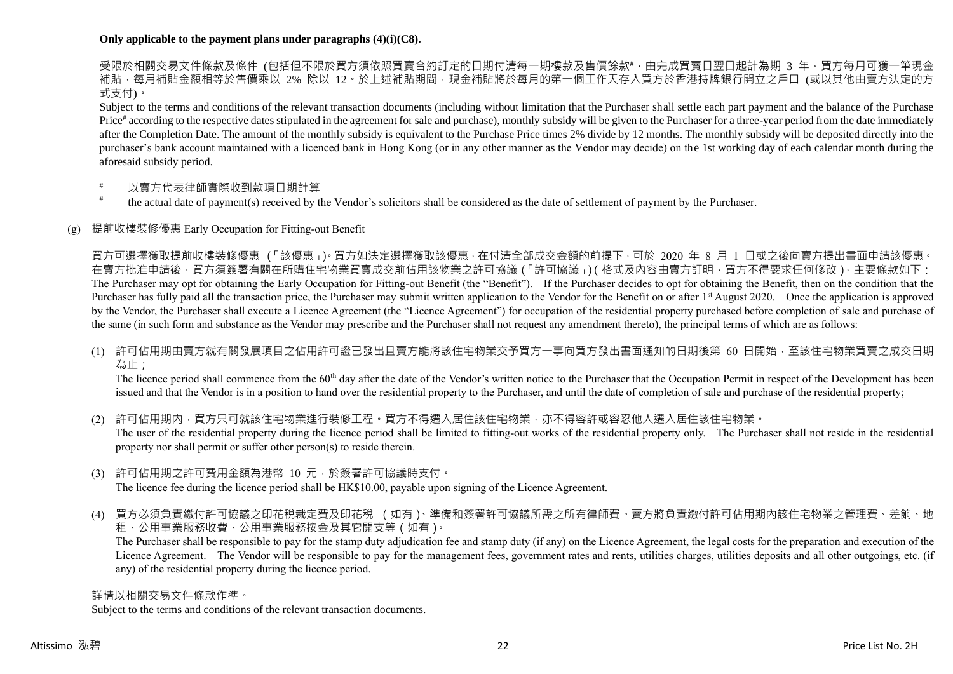#### **Only applicable to the payment plans under paragraphs (4)(i)(C8).**

受限於相關交易文件條款及條件 (包括但不限於買方須依照買賣合約訂定的日期付清每一期樓款及售價餘款#,由完成買賣日翌日起計為期 3 年,買方每月可獲一筆現金 補貼,每月補貼金額相等於售價乘以 2% 除以 12。於上述補貼期間,現金補貼將於每月的第一個工作天存入買方於香港持牌銀行開立之戶口 (或以其他由賣方決定的方 式支付)。

Subject to the terms and conditions of the relevant transaction documents (including without limitation that the Purchaser shall settle each part payment and the balance of the Purchase Price<sup>#</sup> according to the respective dates stipulated in the agreement for sale and purchase), monthly subsidy will be given to the Purchaser for a three-year period from the date immediately after the Completion Date. The amount of the monthly subsidy is equivalent to the Purchase Price times 2% divide by 12 months. The monthly subsidy will be deposited directly into the purchaser's bank account maintained with a licenced bank in Hong Kong (or in any other manner as the Vendor may decide) on the 1st working day of each calendar month during the aforesaid subsidy period.

- 以賣方代表律師實際收到款項日期計算
- # the actual date of payment(s) received by the Vendor's solicitors shall be considered as the date of settlement of payment by the Purchaser.

#### (g) 提前收樓裝修優惠 Early Occupation for Fitting-out Benefit

買方可選擇獲取提前收樓裝修優惠 (「該優惠」)。買方如決定選擇獲取該優惠,在付清全部成交金額的前提下,可於 2020 年 8 月 1 日或之後向賣方提出書面申請該優惠。 在賣方批准申請後,買方須簽署有關在所購住宅物業買賣成交前佔用該物業之許可協議(「許可協議」)(格式及內容由賣方訂明,買方不得要求任何修改),主要條款如下: The Purchaser may opt for obtaining the Early Occupation for Fitting-out Benefit (the "Benefit"). If the Purchaser decides to opt for obtaining the Benefit, then on the condition that the Purchaser has fully paid all the transaction price, the Purchaser may submit written application to the Vendor for the Benefit on or after 1<sup>st</sup> August 2020. Once the application is approved by the Vendor, the Purchaser shall execute a Licence Agreement (the "Licence Agreement") for occupation of the residential property purchased before completion of sale and purchase of the same (in such form and substance as the Vendor may prescribe and the Purchaser shall not request any amendment thereto), the principal terms of which are as follows:

(1) 許可佔用期由賣方就有關發展項目之佔用許可證已發出且賣方能將該住宅物業交予買方一事向買方發出書面通知的日期後第 60 日開始,至該住宅物業買賣之成交日期 為止;

The licence period shall commence from the 60<sup>th</sup> day after the date of the Vendor's written notice to the Purchaser that the Occupation Permit in respect of the Development has been issued and that the Vendor is in a position to hand over the residential property to the Purchaser, and until the date of completion of sale and purchase of the residential property;

(2) 許可佔用期内,買方只可就該住宅物業進行裝修工程。買方不得遷入居住該住宅物業,亦不得容許或容忍他人遷入居住該住宅物業。 The user of the residential property during the licence period shall be limited to fitting-out works of the residential property only. The Purchaser shall not reside in the residential property nor shall permit or suffer other person(s) to reside therein.

(3) 許可佔用期之許可費用金額為港幣 10 元,於簽署許可協議時支付。

The licence fee during the licence period shall be HK\$10.00, payable upon signing of the Licence Agreement.

(4) 買方必須負責繳付許可協議之印花稅裁定費及印花稅 (如有)、準備和簽署許可協議所需之所有律師費。賣方將負責繳付許可佔用期內該住宅物業之管理費、差餉、地 租、公用事業服務收費、公用事業服務按金及其它開支等(如有)。

The Purchaser shall be responsible to pay for the stamp duty adjudication fee and stamp duty (if any) on the Licence Agreement, the legal costs for the preparation and execution of the Licence Agreement. The Vendor will be responsible to pay for the management fees, government rates and rents, utilities charges, utilities deposits and all other outgoings, etc. (if any) of the residential property during the licence period.

#### 詳情以相關交易文件條款作準。

Subject to the terms and conditions of the relevant transaction documents.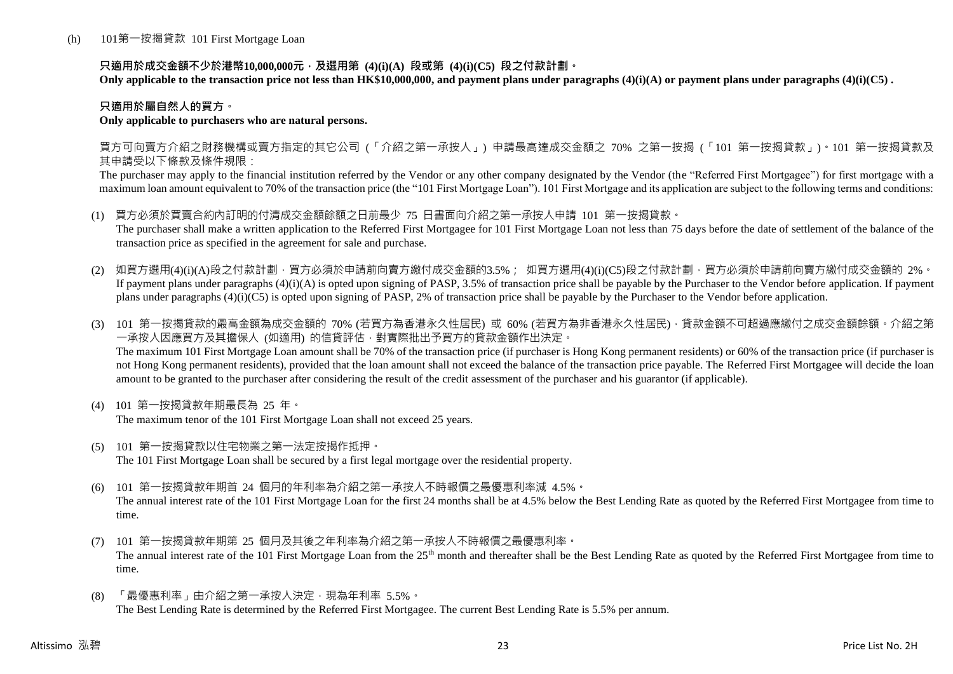## **只適用於成交金額不少於港幣10,000,000元,及選用第 (4)(i)(A) 段或第 (4)(i)(C5) 段之付款計劃。**

**Only applicable to the transaction price not less than HK\$10,000,000, and payment plans under paragraphs (4)(i)(A) or payment plans under paragraphs (4)(i)(C5) .**

## **只適用於屬自然人的買方。**

#### **Only applicable to purchasers who are natural persons.**

買方可向賣方介紹之財務機構或賣方指定的其它公司 (「介紹之第一承按人」) 申請最高達成交金額之 70% 之第一按揭 (「101 第一按揭貸款」)。101 第一按揭貸款及 其申請受以下條款及條件規限:

The purchaser may apply to the financial institution referred by the Vendor or any other company designated by the Vendor (the "Referred First Mortgagee") for first mortgage with a maximum loan amount equivalent to 70% of the transaction price (the "101 First Mortgage Loan"). 101 First Mortgage and its application are subject to the following terms and conditions:

- (1) 買方必須於買賣合約內訂明的付清成交金額餘額之日前最少 75 日書面向介紹之第一承按人申請 101 第一按揭貸款。 The purchaser shall make a written application to the Referred First Mortgagee for 101 First Mortgage Loan not less than 75 days before the date of settlement of the balance of the transaction price as specified in the agreement for sale and purchase.
- (2) 如買方選用(4)(i)(A)段之付款計劃,買方必須於申請前向賣方繳付成交金額的3.5%; 如買方選用(4)(i)(C5)段之付款計劃,買方必須於申請前向賣方繳付成交金額的 2%。 If payment plans under paragraphs  $(4)(i)(A)$  is opted upon signing of PASP, 3.5% of transaction price shall be payable by the Purchaser to the Vendor before application. If payment plans under paragraphs (4)(i)(C5) is opted upon signing of PASP, 2% of transaction price shall be payable by the Purchaser to the Vendor before application.
- (3) 101 第一按揭貸款的最高金額為成交金額的 70% (若買方為香港永久性居民) 或 60% (若買方為非香港永久性居民),貸款金額不可超過應繳付之成交金額餘額。介紹之第 一承按人因應買方及其擔保人 (如適用) 的信貸評估,對實際批出予買方的貸款金額作出決定。 The maximum 101 First Mortgage Loan amount shall be 70% of the transaction price (if purchaser is Hong Kong permanent residents) or 60% of the transaction price (if purchaser is not Hong Kong permanent residents), provided that the loan amount shall not exceed the balance of the transaction price payable. The Referred First Mortgagee will decide the loan amount to be granted to the purchaser after considering the result of the credit assessment of the purchaser and his guarantor (if applicable).
- (4) 101 第一按揭貸款年期最長為 25 年。 The maximum tenor of the 101 First Mortgage Loan shall not exceed 25 years.
- (5) 101 第一按揭貸款以住宅物業之第一法定按揭作抵押。 The 101 First Mortgage Loan shall be secured by a first legal mortgage over the residential property.
- (6) 101 第一按揭貸款年期首 24 個月的年利率為介紹之第一承按人不時報價之最優惠利率減 4.5%。 The annual interest rate of the 101 First Mortgage Loan for the first 24 months shall be at 4.5% below the Best Lending Rate as quoted by the Referred First Mortgagee from time to time.
- (7) 101 第一按揭貸款年期第 25 個月及其後之年利率為介紹之第一承按人不時報價之最優惠利率。 The annual interest rate of the 101 First Mortgage Loan from the 25<sup>th</sup> month and thereafter shall be the Best Lending Rate as quoted by the Referred First Mortgagee from time to time.
- (8) 「最優惠利率」由介紹之第一承按人決定,現為年利率 5.5%。 The Best Lending Rate is determined by the Referred First Mortgagee. The current Best Lending Rate is 5.5% per annum.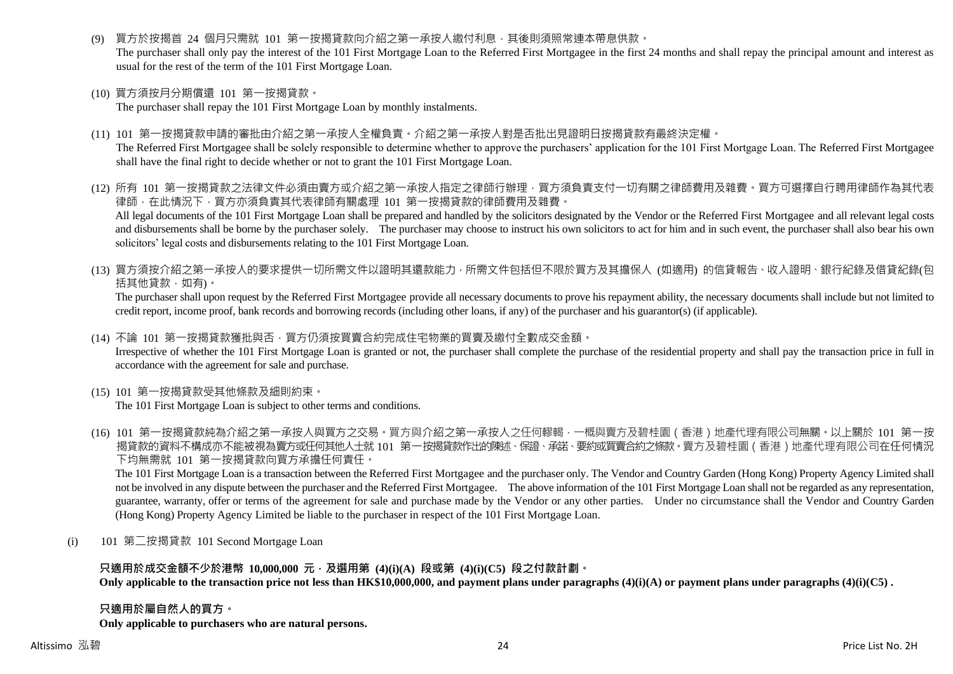買方於按揭首 24 個月只需就 101 第一按揭貸款向介紹之第一承按人繳付利息,其後則須照常連本帶息供款。

The purchaser shall only pay the interest of the 101 First Mortgage Loan to the Referred First Mortgagee in the first 24 months and shall repay the principal amount and interest as usual for the rest of the term of the 101 First Mortgage Loan.

(10) 買方須按月分期償還 101 第一按揭貸款。

The purchaser shall repay the 101 First Mortgage Loan by monthly instalments.

(11) 101 第一按揭貸款申請的審批由介紹之第一承按人全權負責。介紹之第一承按人對是否批出見證明日按揭貸款有最終決定權。

The Referred First Mortgagee shall be solely responsible to determine whether to approve the purchasers' application for the 101 First Mortgage Loan. The Referred First Mortgagee shall have the final right to decide whether or not to grant the 101 First Mortgage Loan.

- (12) 所有 101 第一按揭貸款之法律文件必須由賣方或介紹之第一承按人指定之律師行辦理,買方須負責支付一切有關之律師費用及雜費。買方可選擇自行聘用律師作為其代表 律師,在此情況下,買方亦須負責其代表律師有關處理 101 第一按揭貸款的律師費用及雜費。 All legal documents of the 101 First Mortgage Loan shall be prepared and handled by the solicitors designated by the Vendor or the Referred First Mortgagee and all relevant legal costs and disbursements shall be borne by the purchaser solely. The purchaser may choose to instruct his own solicitors to act for him and in such event, the purchaser shall also bear his own solicitors' legal costs and disbursements relating to the 101 First Mortgage Loan.
- (13) 買方須按介紹之第一承按人的要求提供一切所需文件以證明其還款能力,所需文件包括但不限於買方及其擔保人 (如適用) 的信貸報告、收入證明、銀行紀錄及借貸紀錄(包 括其他貸款,如有)。

The purchaser shall upon request by the Referred First Mortgagee provide all necessary documents to prove his repayment ability, the necessary documents shall include but not limited to credit report, income proof, bank records and borrowing records (including other loans, if any) of the purchaser and his guarantor(s) (if applicable).

(14) 不論 101 第一按揭貸款獲批與否,買方仍須按買賣合約完成住宅物業的買賣及繳付全數成交金額。

Irrespective of whether the 101 First Mortgage Loan is granted or not, the purchaser shall complete the purchase of the residential property and shall pay the transaction price in full in accordance with the agreement for sale and purchase.

(15) 101 第一按揭貸款受其他條款及細則約束。

The 101 First Mortgage Loan is subject to other terms and conditions.

(16) 101 第一按揭貸款純為介紹之第一承按人與買方之交易。買方與介紹之第一承按人之任何轇輵,一概與賣方及碧桂園(香港)地產代理有限公司無關。以上關於 101 第一按 揭貸款的資料不構成亦不能被視為賣方或任何其他人士就 101 第一按揭貸款作出的陳述、保證、承諾、要約或買賣合約之條款。賣方及碧桂園(香港)地產代理有限公司在任何情況 下均無需就 101 第一按揭貸款向買方承擔任何責任。

The 101 First Mortgage Loan is a transaction between the Referred First Mortgagee and the purchaser only. The Vendor and Country Garden (Hong Kong) Property Agency Limited shall not be involved in any dispute between the purchaser and the Referred First Mortgagee. The above information of the 101 First Mortgage Loan shall not be regarded as any representation, guarantee, warranty, offer or terms of the agreement for sale and purchase made by the Vendor or any other parties. Under no circumstance shall the Vendor and Country Garden (Hong Kong) Property Agency Limited be liable to the purchaser in respect of the 101 First Mortgage Loan.

(i) 101 第二按揭貸款 101 Second Mortgage Loan

## **只適用於成交金額不少於港幣 10,000,000 元,及選用第 (4)(i)(A) 段或第 (4)(i)(C5) 段之付款計劃。**

**Only applicable to the transaction price not less than HK\$10,000,000, and payment plans under paragraphs (4)(i)(A) or payment plans under paragraphs (4)(i)(C5) .**

#### **只適用於屬自然人的買方。**

**Only applicable to purchasers who are natural persons.**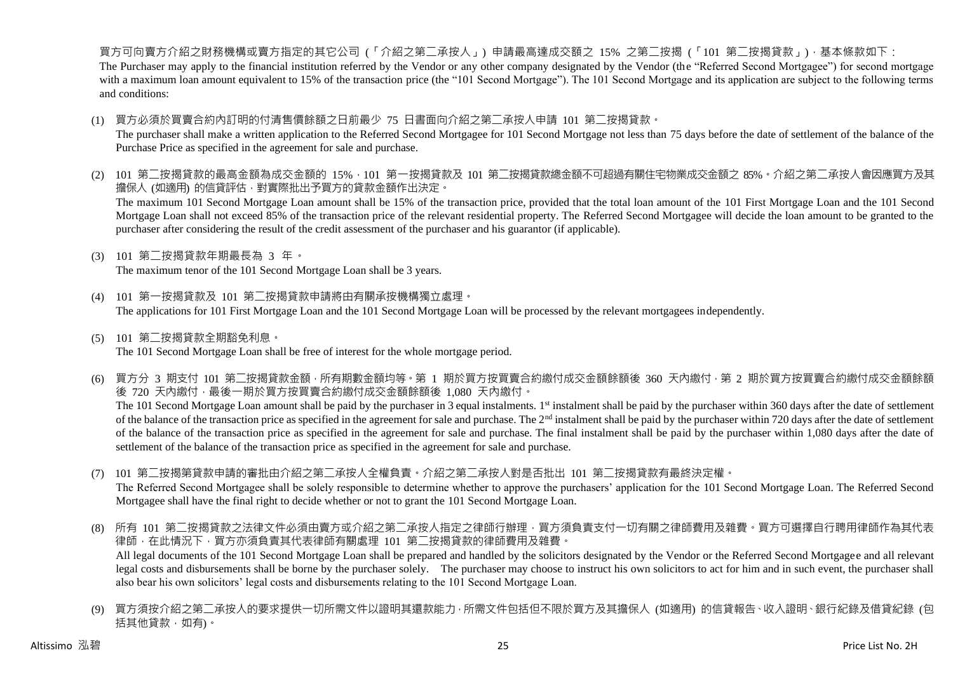買方可向賣方介紹之財務機構或賣方指定的其它公司 (「介紹之第二承按人」) 申請最高達成交額之 15% 之第二按揭 (「101 第二按揭貸款」),基本條款如下: The Purchaser may apply to the financial institution referred by the Vendor or any other company designated by the Vendor (the "Referred Second Mortgagee") for second mortgage with a maximum loan amount equivalent to 15% of the transaction price (the "101 Second Mortgage"). The 101 Second Mortgage and its application are subject to the following terms and conditions:

(1) 買方必須於買賣合約內訂明的付清售價餘額之日前最少 75 日書面向介紹之第二承按人申請 101 第二按揭貸款。

The purchaser shall make a written application to the Referred Second Mortgagee for 101 Second Mortgage not less than 75 days before the date of settlement of the balance of the Purchase Price as specified in the agreement for sale and purchase.

- (2) 101 第二按揭貸款的最高金額為成交金額的 15%,101 第一按揭貸款及 101 第二按揭貸款總金額不可超過有關住宅物業成交金額之 85%。介紹之第二承按人會因應買方及其 擔保人 (如適用) 的信貸評估,對實際批出予買方的貸款金額作出決定。 The maximum 101 Second Mortgage Loan amount shall be 15% of the transaction price, provided that the total loan amount of the 101 First Mortgage Loan and the 101 Second Mortgage Loan shall not exceed 85% of the transaction price of the relevant residential property. The Referred Second Mortgagee will decide the loan amount to be granted to the purchaser after considering the result of the credit assessment of the purchaser and his guarantor (if applicable).
- (3) 101 第二按揭貸款年期最長為 3 年。

The maximum tenor of the 101 Second Mortgage Loan shall be 3 years.

- (4) 101 第一按揭貸款及 101 第二按揭貸款申請將由有關承按機構獨立處理。 The applications for 101 First Mortgage Loan and the 101 Second Mortgage Loan will be processed by the relevant mortgagees independently.
- (5) 101 第二按揭貸款全期豁免利息。 The 101 Second Mortgage Loan shall be free of interest for the whole mortgage period.
- (6) 買方分 3 期支付 101 第二按揭貸款金額,所有期數金額均等。第 1 期於買方按買賣合約繳付成交金額餘額後 360 天內繳付,第 2 期於買方按買賣合約繳付成交金額餘額 後 720 天內繳付,最後一期於買方按買賣合約繳付成交金額餘額後 1,080 天內繳付。 The 101 Second Mortgage Loan amount shall be paid by the purchaser in 3 equal instalments. 1<sup>st</sup> instalment shall be paid by the purchaser within 360 days after the date of settlement of the balance of the transaction price as specified in the agreement for sale and purchase. The  $2<sup>nd</sup>$  instalment shall be paid by the purchaser within 720 days after the date of settlement of the balance of the transaction price as specified in the agreement for sale and purchase. The final instalment shall be paid by the purchaser within 1,080 days after the date of settlement of the balance of the transaction price as specified in the agreement for sale and purchase.
- (7) 101 第二按揭第貸款申請的審批由介紹之第二承按人全權負責。介紹之第二承按人對是否批出 101 第二按揭貸款有最終決定權。 The Referred Second Mortgagee shall be solely responsible to determine whether to approve the purchasers' application for the 101 Second Mortgage Loan. The Referred Second Mortgagee shall have the final right to decide whether or not to grant the 101 Second Mortgage Loan.
- (8) 所有 101 第二按揭貸款之法律文件必須由賣方或介紹之第二承按人指定之律師行辦理,買方須負責支付一切有關之律師費用及雜費。買方可選擇自行聘用律師作為其代表 律師,在此情況下,買方亦須負責其代表律師有關處理 101 第二按揭貸款的律師費用及雜費。 All legal documents of the 101 Second Mortgage Loan shall be prepared and handled by the solicitors designated by the Vendor or the Referred Second Mortgagee and all relevant legal costs and disbursements shall be borne by the purchaser solely. The purchaser may choose to instruct his own solicitors to act for him and in such event, the purchaser shall also bear his own solicitors' legal costs and disbursements relating to the 101 Second Mortgage Loan.
- (9) 買方須按介紹之第二承按人的要求提供一切所需文件以證明其還款能力,所需文件包括但不限於買方及其擔保人 (如適用) 的信貸報告、收入證明、銀行紀錄及借貸紀錄 (包 括其他貸款,如有)。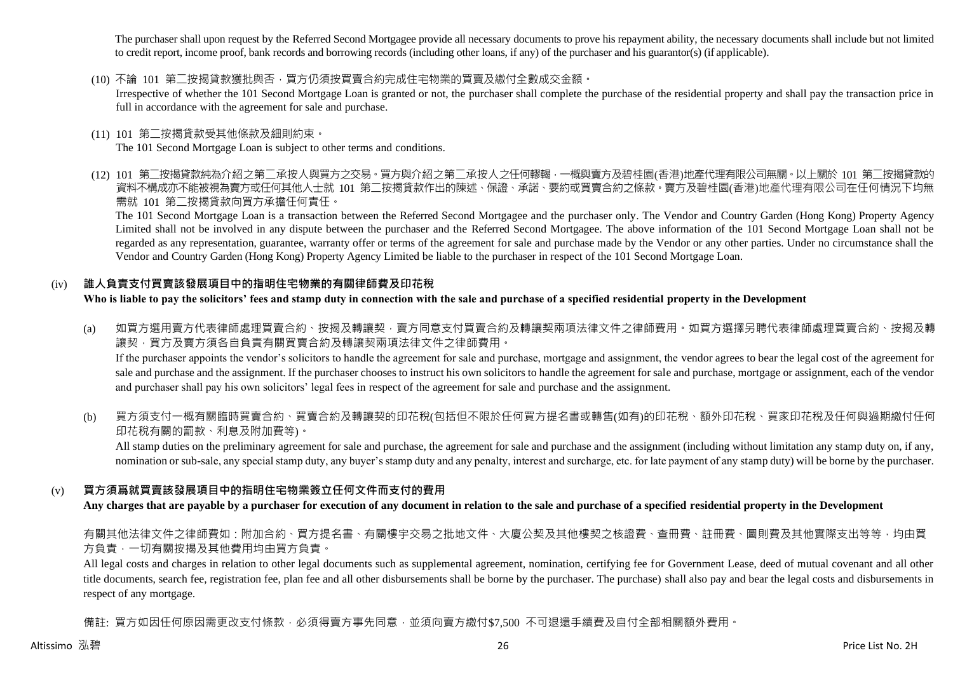The purchaser shall upon request by the Referred Second Mortgagee provide all necessary documents to prove his repayment ability, the necessary documents shall include but not limited to credit report, income proof, bank records and borrowing records (including other loans, if any) of the purchaser and his guarantor(s) (if applicable).

(10) 不論 101 第二按揭貸款獲批與否,買方仍須按買賣合約完成住宅物業的買賣及繳付全數成交金額。

Irrespective of whether the 101 Second Mortgage Loan is granted or not, the purchaser shall complete the purchase of the residential property and shall pay the transaction price in full in accordance with the agreement for sale and purchase.

(11) 101 第二按揭貸款受其他條款及細則約束。

The 101 Second Mortgage Loan is subject to other terms and conditions.

(12) 101 第二按揭貸款純為介紹之第二承按人與買方之交易。買方與介紹之第二承按人之任何轇輵,一概與賣方及碧桂園(香港)地產代理有限公司無關。以上關於 101 第二按揭貸款的 資料不構成亦不能被視為賣方或任何其他人士就 101 第二按揭貸款作出的陳述、保證、承諾、要約或買賣合約之條款。賣方及碧桂園(香港)地產代理有限公司在任何情況下均無 需就 101 第二按揭貸款向買方承擔任何責任。

The 101 Second Mortgage Loan is a transaction between the Referred Second Mortgagee and the purchaser only. The Vendor and Country Garden (Hong Kong) Property Agency Limited shall not be involved in any dispute between the purchaser and the Referred Second Mortgagee. The above information of the 101 Second Mortgage Loan shall not be regarded as any representation, guarantee, warranty offer or terms of the agreement for sale and purchase made by the Vendor or any other parties. Under no circumstance shall the Vendor and Country Garden (Hong Kong) Property Agency Limited be liable to the purchaser in respect of the 101 Second Mortgage Loan.

## (iv) **誰人負責支付買賣該發展項目中的指明住宅物業的有關律師費及印花稅**

**Who is liable to pay the solicitors' fees and stamp duty in connection with the sale and purchase of a specified residential property in the Development**

- (a) 如買方選用賣方代表律師處理買賣合約、按揭及轉讓契,賣方同意支付買賣合約及轉讓契兩項法律文件之律師費用。如買方選擇另聘代表律師處理買賣合約、按揭及轉 譲契,買方及賣方須各自負責有關買賣合約及轉讓契兩項法律文件之律師費用。 If the purchaser appoints the vendor's solicitors to handle the agreement for sale and purchase, mortgage and assignment, the vendor agrees to bear the legal cost of the agreement for sale and purchase and the assignment. If the purchaser chooses to instruct his own solicitors to handle the agreement for sale and purchase, mortgage or assignment, each of the vendor and purchaser shall pay his own solicitors' legal fees in respect of the agreement for sale and purchase and the assignment.
- (b) 買方須支付一概有關臨時買賣合約、買賣合約及轉讓契的印花稅(包括但不限於任何買方提名書或轉售(如有)的印花稅、額外印花稅、買家印花稅及任何與過期繳付任何 印花稅有關的罰款、利息及附加費等)。

All stamp duties on the preliminary agreement for sale and purchase, the agreement for sale and purchase and the assignment (including without limitation any stamp duty on, if any, nomination or sub-sale, any special stamp duty, any buyer's stamp duty and any penalty, interest and surcharge, etc. for late payment of any stamp duty) will be borne by the purchaser.

## (v) **買方須爲就買賣該發展項目中的指明住宅物業簽立任何文件而支付的費用**

**Any charges that are payable by a purchaser for execution of any document in relation to the sale and purchase of a specified residential property in the Development**

## 有關其他法律文件之律師費如:附加合約、買方提名書、有關樓宇交易之批地文件、大廈公契及其他樓契之核證費、查冊費、註冊費、圖則費及其他實際支出等等,均由買 方負責,一切有關按揭及其他費用均由買方負責。

All legal costs and charges in relation to other legal documents such as supplemental agreement, nomination, certifying fee for Government Lease, deed of mutual covenant and all other title documents, search fee, registration fee, plan fee and all other disbursements shall be borne by the purchaser. The purchase) shall also pay and bear the legal costs and disbursements in respect of any mortgage.

備註: 買方如因任何原因需更改支付條款,必須得賣方事先同意,並須向賣方繳付\$7,500 不可退還手續費及自付全部相關額外費用。